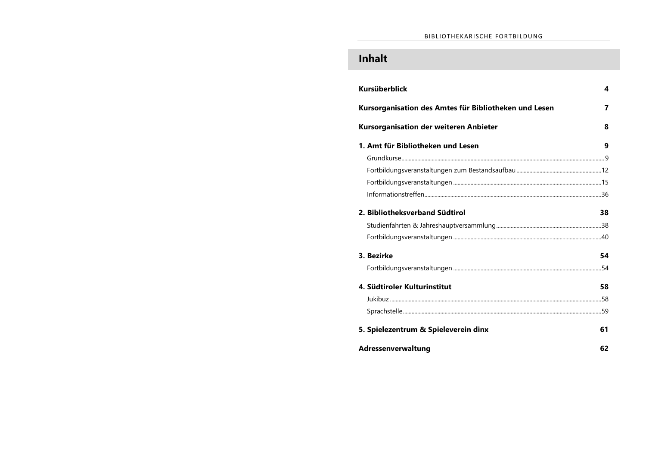# **Inhalt**

| Kursüberblick                                         | 4  |
|-------------------------------------------------------|----|
| Kursorganisation des Amtes für Bibliotheken und Lesen | 7  |
| Kursorganisation der weiteren Anbieter                | 8  |
| 1. Amt für Bibliotheken und Lesen                     | 9  |
|                                                       |    |
|                                                       |    |
|                                                       |    |
|                                                       |    |
| 2. Bibliotheksverband Südtirol                        | 38 |
|                                                       |    |
|                                                       |    |
| 3. Bezirke                                            | 54 |
|                                                       |    |
| 4. Südtiroler Kulturinstitut                          | 58 |
|                                                       |    |
|                                                       |    |
| 5. Spielezentrum & Spieleverein dinx                  | 61 |
| Adressenverwaltung                                    | 62 |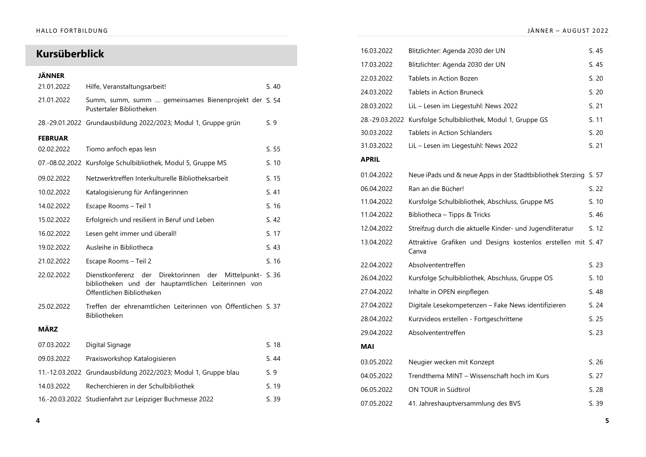# **Kursüberblick**

| JÄNNER         |                                                                                                                                                       |       |
|----------------|-------------------------------------------------------------------------------------------------------------------------------------------------------|-------|
| 21.01.2022     | Hilfe, Veranstaltungsarbeit!                                                                                                                          | S.40  |
| 21.01.2022     | Summ, summ, summ  gemeinsames Bienenprojekt der S. 54<br>Pustertaler Bibliotheken                                                                     |       |
|                | 28.-29.01.2022 Grundausbildung 2022/2023; Modul 1, Gruppe grün                                                                                        | S.9   |
| <b>FEBRUAR</b> |                                                                                                                                                       |       |
| 02.02.2022     | Tiomo anfoch epas lesn                                                                                                                                | S.55  |
|                | 07.-08.02.2022 Kursfolge Schulbibliothek, Modul 5, Gruppe MS                                                                                          | S.10  |
| 09.02.2022     | Netzwerktreffen Interkulturelle Bibliotheksarbeit                                                                                                     | S. 15 |
| 10.02.2022     | Katalogisierung für Anfängerinnen                                                                                                                     | S.41  |
| 14.02.2022     | Escape Rooms - Teil 1                                                                                                                                 | S. 16 |
| 15.02.2022     | Erfolgreich und resilient in Beruf und Leben                                                                                                          | S.42  |
| 16.02.2022     | Lesen geht immer und überall!                                                                                                                         | S. 17 |
| 19.02.2022     | Ausleihe in Bibliotheca                                                                                                                               | S.43  |
| 21.02.2022     | Escape Rooms - Teil 2                                                                                                                                 | S.16  |
| 22.02.2022     | Dienstkonferenz der<br>Direktorinnen<br>der<br>Mittelpunkt- S. 36<br>bibliotheken und der hauptamtlichen Leiterinnen von<br>Öffentlichen Bibliotheken |       |
| 25.02.2022     | Treffen der ehrenamtlichen Leiterinnen von Öffentlichen S. 37<br>Bibliotheken                                                                         |       |
| <b>MÄRZ</b>    |                                                                                                                                                       |       |
| 07.03.2022     | Digital Signage                                                                                                                                       | S.18  |
| 09.03.2022     | Praxisworkshop Katalogisieren                                                                                                                         | S. 44 |
|                | 11.-12.03.2022 Grundausbildung 2022/2023; Modul 1, Gruppe blau                                                                                        | S.9   |
| 14.03.2022     | Recherchieren in der Schulbibliothek                                                                                                                  | S. 19 |
|                | 16.-20.03.2022 Studienfahrt zur Leipziger Buchmesse 2022                                                                                              | S.39  |

| 16.03.2022   | Blitzlichter: Agenda 2030 der UN                                       | S.45  |
|--------------|------------------------------------------------------------------------|-------|
| 17.03.2022   | Blitzlichter: Agenda 2030 der UN                                       | S.45  |
| 22.03.2022   | Tablets in Action Bozen                                                | S. 20 |
| 24.03.2022   | <b>Tablets in Action Bruneck</b>                                       | S. 20 |
| 28.03.2022   | LiL - Lesen im Liegestuhl: News 2022                                   | S. 21 |
|              | 28.-29.03.2022 Kursfolge Schulbibliothek, Modul 1, Gruppe GS           | S. 11 |
| 30.03.2022   | <b>Tablets in Action Schlanders</b>                                    | S. 20 |
| 31.03.2022   | LiL - Lesen im Liegestuhl: News 2022                                   | S. 21 |
| <b>APRIL</b> |                                                                        |       |
| 01.04.2022   | Neue iPads und & neue Apps in der Stadtbibliothek Sterzing             | S. 57 |
| 06.04.2022   | Ran an die Bücher!                                                     | S. 22 |
| 11.04.2022   | Kursfolge Schulbibliothek, Abschluss, Gruppe MS                        | S. 10 |
| 11.04.2022   | Bibliotheca - Tipps & Tricks                                           | S. 46 |
| 12.04.2022   | Streifzug durch die aktuelle Kinder- und Jugendliteratur               | S. 12 |
| 13.04.2022   | Attraktive Grafiken und Designs kostenlos erstellen mit S. 47<br>Canva |       |
| 22.04.2022   | Absolvententreffen                                                     | S. 23 |
| 26.04.2022   | Kursfolge Schulbibliothek, Abschluss, Gruppe OS                        | S. 10 |
| 27.04.2022   | Inhalte in OPEN einpflegen                                             | S. 48 |
| 27.04.2022   | Digitale Lesekompetenzen - Fake News identifizieren                    | S. 24 |
| 28.04.2022   | Kurzvideos erstellen - Fortgeschrittene                                | S.25  |
| 29.04.2022   | Absolvententreffen                                                     | S. 23 |
| <b>MAI</b>   |                                                                        |       |
| 03.05.2022   | Neugier wecken mit Konzept                                             | S.26  |
| 04.05.2022   | Trendthema MINT - Wissenschaft hoch im Kurs                            | S. 27 |
| 06.05.2022   | ON TOUR in Südtirol                                                    | S.28  |
| 07.05.2022   | 41. Jahreshauptversammlung des BVS                                     | S. 39 |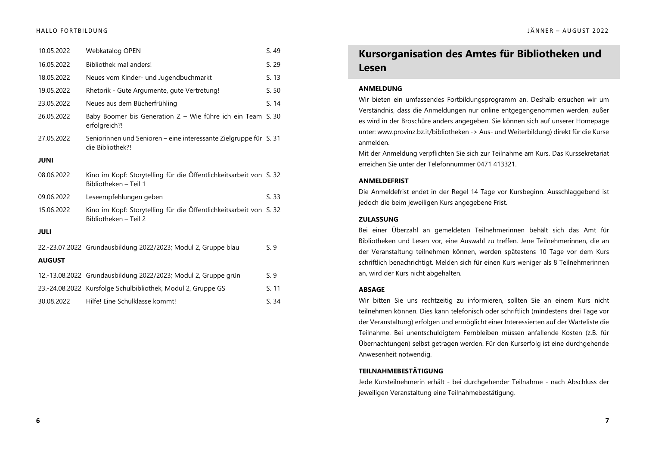| 10.05.2022    | Webkatalog OPEN                                                                             | S.49  |
|---------------|---------------------------------------------------------------------------------------------|-------|
| 16.05.2022    | Bibliothek mal anders!                                                                      | S.29  |
| 18.05.2022    | Neues vom Kinder- und Jugendbuchmarkt                                                       | S. 13 |
| 19.05.2022    | Rhetorik - Gute Argumente, gute Vertretung!                                                 | S.50  |
| 23.05.2022    | Neues aus dem Bücherfrühling                                                                | S.14  |
| 26.05.2022    | Baby Boomer bis Generation Z - Wie führe ich ein Team S. 30<br>erfolgreich?!                |       |
| 27.05.2022    | Seniorinnen und Senioren – eine interessante Zielgruppe für S. 31<br>die Bibliothek?!       |       |
| <b>JUNI</b>   |                                                                                             |       |
| 08.06.2022    | Kino im Kopf: Storytelling für die Öffentlichkeitsarbeit von S. 32<br>Bibliotheken - Teil 1 |       |
| 09.06.2022    | Leseempfehlungen geben                                                                      | S.33  |
| 15.06.2022    | Kino im Kopf: Storytelling für die Öffentlichkeitsarbeit von S. 32<br>Bibliotheken - Teil 2 |       |
| <b>JULI</b>   |                                                                                             |       |
|               | 22.-23.07.2022 Grundausbildung 2022/2023; Modul 2, Gruppe blau                              | S.9   |
| <b>AUGUST</b> |                                                                                             |       |
|               | 12.-13.08.2022 Grundausbildung 2022/2023; Modul 2, Gruppe grün                              | S.9   |
|               | 23.-24.08.2022 Kursfolge Schulbibliothek, Modul 2, Gruppe GS                                | S. 11 |
| 30.08.2022    | Hilfe! Fine Schulklasse kommt!                                                              | S. 34 |

### JÄNNER - AUGUST 2022

# **Kursorganisation des Amtes für Bibliotheken und Lesen**

#### ANMELDUNG

Wir bieten ein umfassendes Fortbildungsprogramm an. Deshalb ersuchen wir um Verständnis, dass die Anmeldungen nur online entgegengenommen werden, außer es wird in der Broschüre anders angegeben. Sie können sich auf unserer Homepage unter: www.provinz.bz.it/bibliotheken -> Aus- und Weiterbildung) direkt für die Kurse anmelden.

Mit der Anmeldung verpflichten Sie sich zur Teilnahme am Kurs. Das Kurssekretariat erreichen Sie unter der Telefonnummer 0471 413321.

### **ANMELDEFRIST**

Die Anmeldefrist endet in der Regel 14 Tage vor Kursbeginn. Ausschlaggebend ist jedoch die beim jeweiligen Kurs angegebene Frist.

#### ZULASSUNG

Bei einer Überzahl an gemeldeten Teilnehmerinnen behält sich das Amt für Bibliotheken und Lesen vor, eine Auswahl zu treffen. Jene Teilnehmerinnen, die an der Veranstaltung teilnehmen können, werden spätestens 10 Tage vor dem Kurs schriftlich benachrichtigt. Melden sich für einen Kurs weniger als 8 Teilnehmerinnen an, wird der Kurs nicht abgehalten.

#### ABSAGE

Wir bitten Sie uns rechtzeitig zu informieren, sollten Sie an einem Kurs nicht teilnehmen können. Dies kann telefonisch oder schriftlich (mindestens drei Tage vor der Veranstaltung) erfolgen und ermöglicht einer Interessierten auf der Warteliste die Teilnahme. Bei unentschuldigtem Fernbleiben müssen anfallende Kosten (z.B. für Übernachtungen) selbst getragen werden. Für den Kurserfolg ist eine durchgehende Anwesenheit notwendig.

### TEILNAHMEBESTÄTIGUNG

Jede Kursteilnehmerin erhält - bei durchgehender Teilnahme - nach Abschluss der jeweiligen Veranstaltung eine Teilnahmebestätigung.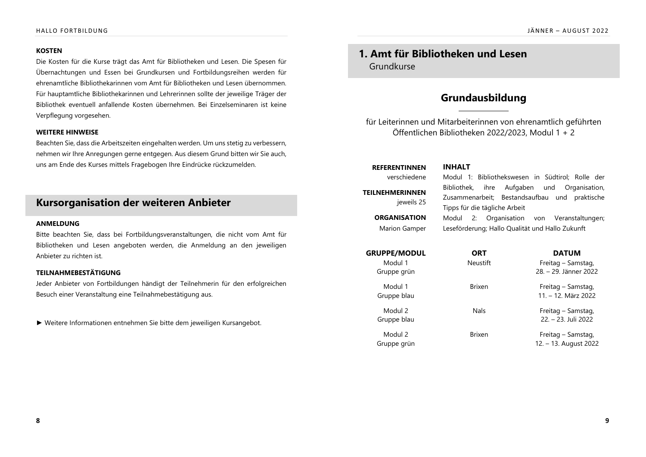### **KOSTEN**

Die Kosten für die Kurse trägt das Amt für Bibliotheken und Lesen. Die Spesen für Übernachtungen und Essen bei Grundkursen und Fortbildungsreihen werden für ehrenamtliche Bibliothekarinnen vom Amt für Bibliotheken und Lesen übernommen. Für hauptamtliche Bibliothekarinnen und Lehrerinnen sollte der jeweilige Träger der Bibliothek eventuell anfallende Kosten übernehmen. Bei Einzelseminaren ist keine Verpflegung vorgesehen.

## **WEITERE HINWEISE**

Beachten Sie, dass die Arbeitszeiten eingehalten werden. Um uns stetig zu verbessern, nehmen wir Ihre Anregungen gerne entgegen. Aus diesem Grund bitten wir Sie auch, uns am Ende des Kurses mittels Fragebogen Ihre Eindrücke rückzumelden.

# **Kursorganisation der weiteren Anbieter**

#### ANMELDUNG

Bitte beachten Sie, dass bei Fortbildungsveranstaltungen, die nicht vom Amt für Bibliotheken und Lesen angeboten werden, die Anmeldung an den jeweiligen Anbieter zu richten ist.

### TEILNAHMEBESTÄTIGUNG

Jeder Anbieter von Fortbildungen händigt der Teilnehmerin für den erfolgreichen Besuch einer Veranstaltung eine Teilnahmebestätigung aus.

 $\blacktriangleright$  Weitere Informationen entnehmen Sie bitte dem jeweiligen Kursangebot.

# **1. Amt für Bibliotheken und Lesen** Grundkurse

# **Grundausbildung**

für Leiterinnen und Mitarbeiterinnen von ehrenamtlich geführten Öffentlichen Bibliotheken 2022/2023. Modul  $1 + 2$ 

**REFERENTINNEN INHALT** 

**TEILNEHMERINNEN** ieweils 25

**ORGANISATION** 

Marion Gamper

verschiedene Modul 1: Bibliothekswesen in Südtirol; Rolle der Bibliothek, ihre Aufgaben und Organisation, Zusammenarbeit; Bestandsaufbau und praktische Tipps für die tägliche Arbeit

> Modul 2: Organisation von Veranstaltungen; Leseförderung; Hallo Qualität und Hallo Zukunft

Gruppe grün

Gruppe blau

Gruppe grün

Gruppe blau

Modul 1 Neustift Freitag – Samstag, 28. - 29. Jänner 2022

Modul 1 **Brixen** Brixen **Freitag** – Samstag,  $11. - 12.$  März 2022

Modul 2 Nals Nals Freitag – Samstag,  $22. - 23.$  Juli 2022

Modul 2 **Brixen** Brixen **Freitag** – Samstag,  $12. - 13.$  August 2022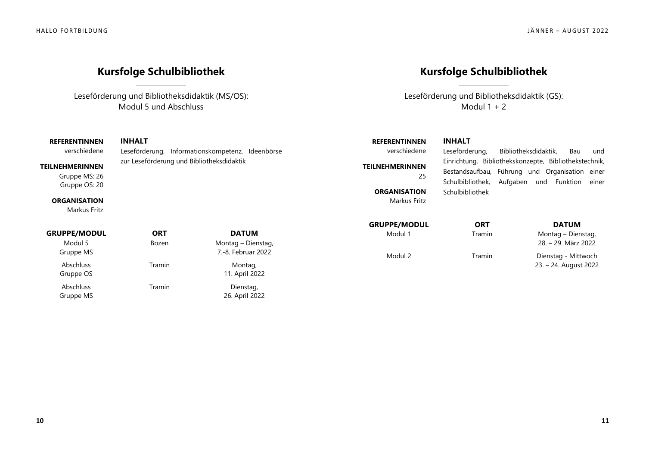# **Kursfolge Schulbibliothek**

Leseförderung und Bibliotheksdidaktik (MS/OS): Modul 5 und Abschluss

# **REFERENTINNEN INHALT**

verschiedene Leseförderung, Informationskompetenz, Ideenbörse **TEILNEHMERINNEN** zur Leseförderung und Bibliotheksdidaktik

Gruppe MS: 26 Gruppe OS: 20

#### **ORGANISATION**

Markus Fritz

# Modul 5 Bozen Montag – Dienstag, Gruppe MS Abschluss Tramin Montag, Gruppe OS Abschluss Tramin Dienstag, Gruppe MS

7.-8. Februar 2022

11. April 2022

26. April 2022

# **Kursfolge Schulbibliothek**

Leseförderung und Bibliotheksdidaktik (GS): Modul  $1 + 2$ 

# **REFERENTINNEN INHALT**

verschiedene Leseförderung, Bibliotheksdidaktik, Bau und **TEILNEHMERINNEN** ° **ORGANISATION** Markus Fritz

Bestandsaufbau, Führung und Organisation einer Schulbibliothek, Aufgaben und Funktion einer Schulbibliothek

Einrichtung. Bibliothekskonzepte, Bibliothekstechnik,

## 

Modul 1 Tramin Montag – Dienstag, 28. - 29. März 2022

Modul 2 **Tramin** Dienstag - Mittwoch 23. – 24. August 2022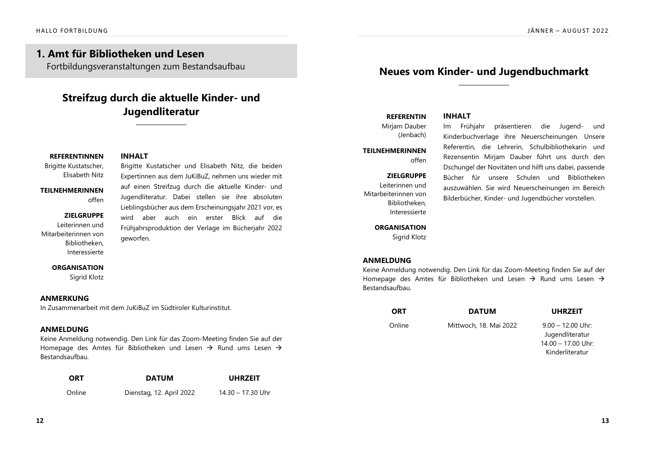# **1. Amt für Bibliotheken und Lesen**

Fortbildungsveranstaltungen zum Bestandsaufbau

# **Streifzug durch die aktuelle Kinder- und Jugendliteratur**

## **REFERENTINNEN INHALT**

Brigitte Kustatscher, Elisabeth Nitz

# Brigitte Kustatscher und Elisabeth Nitz, die beiden

**TFII NFHMFRINNFN** offen

## ZIELGRUPPE

Leiterinnen und Mitarbeiterinnen von Bibliotheken. Interessierte

Expertinnen aus dem JuKiBuZ, nehmen uns wieder mit auf einen Streifzug durch die aktuelle Kinder- und Jugendliteratur. Dabei stellen sie ihre absoluten Lieblingsbücher aus dem Erscheinungsjahr 2021 vor, es wird aber auch ein erster Blick auf die Frühjahrsproduktion der Verlage im Bücherjahr 2022 geworfen.

## **ORGANISATION**

Sigrid Klotz

## ANMERKUNG

In Zusammenarbeit mit dem JuKiBuZ im Südtiroler Kulturinstitut

# ANMELDUNG

Keine Anmeldung notwendig. Den Link für das Zoom-Meeting finden Sie auf der Homepage des Amtes für Bibliotheken und Lesen  $\rightarrow$  Rund ums Lesen  $\rightarrow$ Bestandsaufbau.

| <b>ORT</b> | <b>DATUM</b>             | <b>UHRZEIT</b>    |
|------------|--------------------------|-------------------|
| Online     | Dienstag, 12. April 2022 | 14.30 – 17.30 Uhr |

# **Neues vom Kinder- und Jugendbuchmarkt**

# **REFERENTIN INHALT**

Mirjam Dauber (Jenbach)

#### **TFII NFHMFRINNFN** offen

## ZIELGRUPPE

Leiterinnen und Mitarbeiterinnen von Rihliotheken Interessierte

### **ORGANISATION**

Sigrid Klotz

Im Frühiahr präsentieren die Jugend- und Kinderbuchverlage ihre Neuerscheinungen. Unsere Referentin, die Lehrerin, Schulbibliothekarin und Rezensentin Mirjam Dauber führt uns durch den Dschungel der Novitäten und hilft uns dabei, passende Bücher für unsere Schulen und Bibliotheken auszuwählen. Sie wird Neuerscheinungen im Bereich Bilderbücher, Kinder- und Jugendbücher vorstellen.

# ANMELDUNG

Keine Anmeldung notwendig. Den Link für das Zoom-Meeting finden Sie auf der Homepage des Amtes für Bibliotheken und Lesen  $\rightarrow$  Rund ums Lesen  $\rightarrow$ Bestandsaufbau.

| ORT    | <b>DATUM</b>           | <b>UHRZEIT</b>                                                 |
|--------|------------------------|----------------------------------------------------------------|
| Online | Mittwoch, 18. Mai 2022 | $9.00 - 12.00$ Uhr:<br>Jugendliteratur<br>$14.00 - 17.00$ Uhr: |
|        |                        | Kinderliteratur                                                |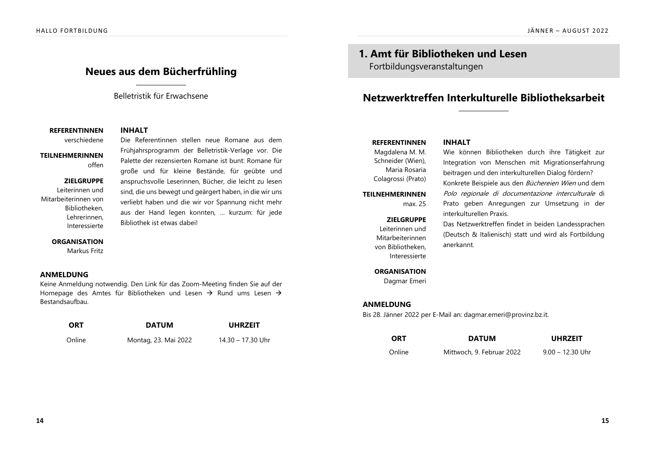# **Neues aus dem Bücherfrühling**

## Belletristik für Erwachsene

Frühjahrsprogramm der Belletristik-Verlage vor. Die Palette der rezensierten Romane ist bunt: Romane für große und für kleine Bestände, für geübte und anspruchsvolle Leserinnen, Bücher, die leicht zu lesen sind, die uns bewegt und geärgert haben, in die wir uns verliebt haben und die wir vor Spannung nicht mehr aus der Hand legen konnten, ... kurzum: für jede

## **REFERENTINNEN INHALT**

verschiedene Die Referentinnen stellen neue Romane aus dem

## **TEILNEHMERINNEN** offen

## ZIELGRUPPE

Leiterinnen und Mitarbeiterinnen von Bibliotheken, Lehrerinnen. Interessierte

### **ORGANISATION**

Markus Fritz

## ANMELDUNG

Keine Anmeldung notwendig. Den Link für das Zoom-Meeting finden Sie auf der Homepage des Amtes für Bibliotheken und Lesen  $\rightarrow$  Rund ums Lesen  $\rightarrow$ Bestandsaufhau

Bibliothek ist etwas dabeil

| <b>ORT</b> | <b>DATUM</b>         | <b>UHRZEIT</b>    |
|------------|----------------------|-------------------|
| Online     | Montag, 23. Mai 2022 | 14.30 – 17.30 Uhr |

**1. Amt für Bibliotheken und Lesen** Fortbildungsveranstaltungen

# **Netzwerktreffen Interkulturelle Bibliotheksarbeit**

## **REFERENTINNEN INHALT**

Magdalena M. M. Schneider (Wien), Maria Rosaria Colagrossi (Prato)

**TEILNEHMERINNEN** 

max $25$ 

#### ZIELGRUPPE

Leiterinnen und Mitarbeiterinnen von Bibliotheken. Interessierte

Wie können Bibliotheken durch ihre Tätigkeit zur Integration von Menschen mit Migrationserfahrung beitragen und den interkulturellen Dialog fördern? Konkrete Beispiele aus den Büchereien Wien und dem Polo regionale di documentazione interculturale di Prato geben Anregungen zur Umsetzung in der interkulturellen Praxis.

Das Netzwerktreffen findet in beiden Landessprachen (Deutsch & Italienisch) statt und wird als Fortbildung anerkannt.

### **ORGANISATION**

Dagmar Emeri

## ANMELDUNG

Bis 28. Jänner 2022 per E-Mail an: dagmar.emeri@provinz.bz.it.

| <b>ORT</b> | <b>DATUM</b>              | <b>UHRZEIT</b>     |
|------------|---------------------------|--------------------|
| Online     | Mittwoch, 9. Februar 2022 | $9.00 - 12.30$ Uhr |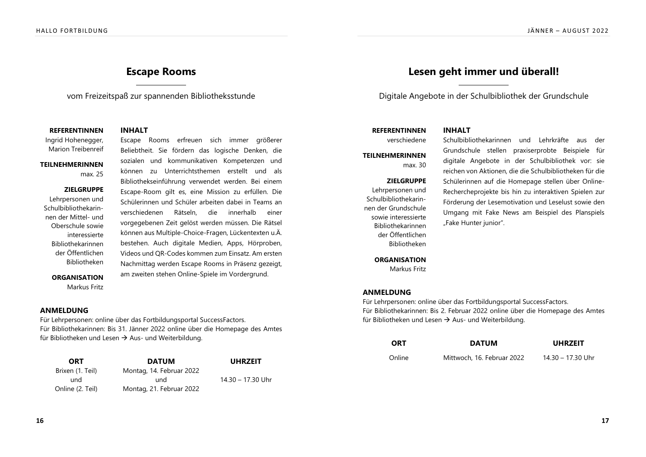# **Escape Rooms**

vom Freizeitspaß zur spannenden Bibliotheksstunde

**REFERENTINNEN INHALT** 

Ingrid Hohenegger, Marion Treibenreif

# Escape Rooms erfreuen sich immer größerer

**TFII NFHMFRINNFN** 

max. 25

### ZIELGRUPPE

Lehrpersonen und Schulbibliothekarinnen der Mittel- und Oberschule sowie interessierte Bibliothekarinnen der Öffentlichen Ribliotheken

sozialen und kommunikativen Kompetenzen und können zu Unterrichtsthemen erstellt und als Bibliothekseinführung verwendet werden. Bei einem Escape-Room gilt es, eine Mission zu erfüllen. Die Schülerinnen und Schüler arbeiten dabei in Teams an verschiedenen Rätseln, die innerhalb einer vorgegebenen Zeit gelöst werden müssen. Die Rätsel können aus Multiple-Choice-Fragen, Lückentexten u.Ä. bestehen. Auch digitale Medien, Apps, Hörproben, Videos und QR-Codes kommen zum Einsatz. Am ersten Nachmittag werden Escape Rooms in Präsenz gezeigt, am zweiten stehen Online-Spiele im Vordergrund.

Beliebtheit. Sie fördern das logische Denken, die

**ORGANISATION** Markus Fritz

## ANMELDUNG

Für Lehrpersonen: online über das Fortbildungsportal SuccessFactors. Für Bibliothekarinnen: Bis 31. Jänner 2022 online über die Homepage des Amtes für Bibliotheken und Lesen  $\rightarrow$  Aus- und Weiterbildung.

| <b>ORT</b>       | <b>DATUM</b>             | <b>UHRZEIT</b>    |
|------------------|--------------------------|-------------------|
| Brixen (1. Teil) | Montag, 14. Februar 2022 |                   |
| und              | und                      | 14.30 - 17.30 Uhr |
| Online (2. Teil) | Montag, 21. Februar 2022 |                   |

# Lesen geht immer und überall!

Digitale Angebote in der Schulbibliothek der Grundschule

## **REFERENTINNEN INHALT**

**TEILNEHMERINNEN**  $max$  30

### ZIELGRUPPE

Lehrpersonen und Schulbibliothekarinnen der Grundschule sowie interessierte Bibliothekarinnen der Öffentlichen **Bibliotheken** 

### **ORGANISATION**

Markus Fritz

verschiedene Schulbibliothekarinnen und Lehrkräfte aus der Grundschule stellen praxiserprobte Beispiele für digitale Angebote in der Schulbibliothek vor: sie reichen von Aktionen, die die Schulbibliotheken für die Schülerinnen auf die Homepage stellen über Online-Rechercheprojekte bis hin zu interaktiven Spielen zur Förderung der Lesemotivation und Leselust sowie den Umgang mit Fake News am Beispiel des Planspiels "Fake Hunter junior".

## ANMELDUNG

Für Lehrpersonen: online über das Fortbildungsportal SuccessFactors. Für Bibliothekarinnen: Bis 2. Februar 2022 online über die Homepage des Amtes für Bibliotheken und Lesen  $\rightarrow$  Aus- und Weiterbildung.

| <b>ORT</b> | <b>DATUM</b>               | <b>UHRZEIT</b>    |
|------------|----------------------------|-------------------|
| Online     | Mittwoch, 16. Februar 2022 | 14.30 - 17.30 Uhr |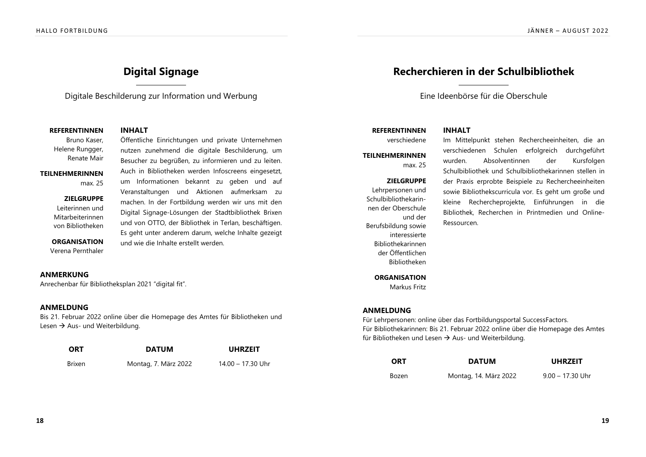# **Digital Signage**

Digitale Beschilderung zur Information und Werbung

### **REFERENTINNEN INHALT**

Bruno Kaser, Helene Rungger, Renate Mair

**TFII NFHMFRINNFN** 

max 25

ZIELGRUPPE Leiterinnen und Mitarbeiterinnen von Bibliotheken

# Öffentliche Einrichtungen und private Unternehmen

nutzen zunehmend die digitale Beschilderung, um Besucher zu begrüßen, zu informieren und zu leiten. Auch in Bibliotheken werden Infoscreens eingesetzt, um Informationen bekannt zu geben und auf Veranstaltungen und Aktionen aufmerksam zu machen. In der Fortbildung werden wir uns mit den Digital Signage-Lösungen der Stadtbibliothek Brixen und von OTTO, der Bibliothek in Terlan, beschäftigen. Es geht unter anderem darum, welche Inhalte gezeigt und wie die Inhalte erstellt werden.

### **ORGANISATION**

Verena Pernthaler

## ANMERKUNG

Anrechenbar für Bibliotheksplan 2021 "digital fit".

## ANMELDUNG

Bis 21. Februar 2022 online über die Homepage des Amtes für Bibliotheken und Lesen  $\rightarrow$  Aus- und Weiterbildung.

| <b>ORT</b> | <b>DATUM</b>         | <b>UHRZEIT</b>    |
|------------|----------------------|-------------------|
| Brixen     | Montag, 7. März 2022 | 14.00 – 17.30 Uhr |

# **Recherchieren in der Schulbibliothek**

Eine Ideenbörse für die Oberschule

# **REFERENTINNEN INHALT**

## **TEILNEHMERINNEN** max 25

### ZIELGRUPPE

Lehrpersonen und Schulbibliothekarinnen der Oberschule und der Berufsbildung sowie interessierte **Bibliothekarinnen** der Öffentlichen **Bibliotheken** 

verschiedene Im Mittelpunkt stehen Rechercheeinheiten, die an verschiedenen Schulen erfolgreich durchgeführt wurden. Absolventinnen der Kursfolgen Schulbibliothek und Schulbibliothekarinnen stellen in der Praxis erprobte Beispiele zu Rechercheeinheiten sowie Bibliothekscurricula vor. Es geht um große und kleine Rechercheprojekte, Einführungen in die Bibliothek, Recherchen in Printmedien und Online-Ressourcen.

#### **ORGANISATION**

Markus Fritz

## ANMELDUNG

Für Lehrpersonen: online über das Fortbildungsportal SuccessFactors. Für Bibliothekarinnen: Bis 21. Februar 2022 online über die Homepage des Amtes für Bibliotheken und Lesen  $\rightarrow$  Aus- und Weiterbildung.

| <b>ORT</b> | <b>DATUM</b>          | <b>UHRZEIT</b>     |
|------------|-----------------------|--------------------|
| Bozen      | Montag, 14. März 2022 | $9.00 - 17.30$ Uhr |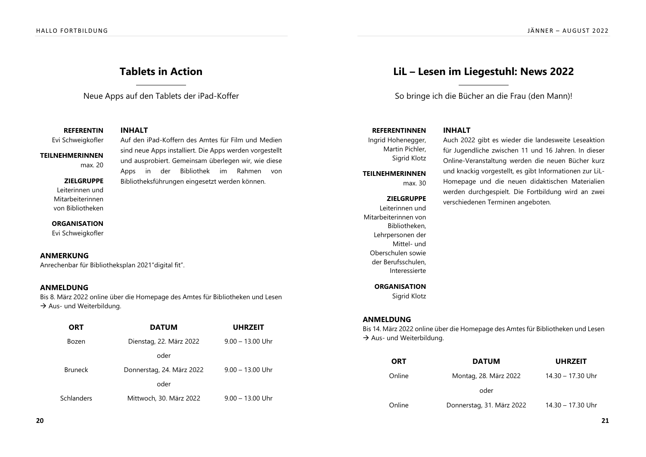# **Tablets in Action**

Neue Apps auf den Tablets der iPad-Koffer

sind neue Apps installiert. Die Apps werden vorgestellt und ausprobiert. Gemeinsam überlegen wir, wie diese Apps in der Bibliothek im Rahmen von Bibliotheksführungen eingesetzt werden können.

**REFERENTIN INHALT** 

Evi Schweigkofler Auf den iPad-Koffern des Amtes für Film und Medien

**TEILNEHMERINNEN**  $max$  20

### ZIELGRUPPE

Leiterinnen und Mitarbeiterinnen von Bibliotheken

**ORGANISATION** Evi Schweigkofler

## ANMERKUNG

Anrechenbar für Bibliotheksplan 2021"digital fit".

## ANMELDUNG

Bis 8. März 2022 online über die Homepage des Amtes für Bibliotheken und Lesen  $\rightarrow$  Aus- und Weiterbildung.

| <b>ORT</b>     | <b>DATUM</b>              | <b>UHRZEIT</b>     |
|----------------|---------------------------|--------------------|
| Bozen          | Dienstag, 22. März 2022   | $9.00 - 13.00$ Uhr |
|                | oder                      |                    |
| <b>Bruneck</b> | Donnerstag, 24. März 2022 | $9.00 - 13.00$ Uhr |
|                | oder                      |                    |
| Schlanders     | Mittwoch, 30. März 2022   | $9.00 - 13.00$ Uhr |
|                |                           |                    |

# **LiL - Lesen im Liegestuhl: News 2022**

So bringe ich die Bücher an die Frau (den Mann)!

## **REFERENTINNEN INHALT**

Ingrid Hohenegger, Martin Pichler, Sigrid Klotz

**TFII NFHMFRINNFN** 

 $max$  30

#### ZIELGRUPPE

Leiterinnen und Mitarbeiterinnen von Bibliotheken, Lehrpersonen der Mittel- und Oberschulen sowie der Berufsschulen. Interessierte

Auch 2022 gibt es wieder die landesweite Leseaktion für Jugendliche zwischen 11 und 16 Jahren. In dieser Online-Veranstaltung werden die neuen Bücher kurz und knackig vorgestellt, es gibt Informationen zur LiL-Homepage und die neuen didaktischen Materialien werden durchgespielt. Die Fortbildung wird an zwei verschiedenen Terminen angeboten.

#### **ORGANISATION**

Sigrid Klotz

## ANMELDUNG

Bis 14. März 2022 online über die Homepage des Amtes für Bibliotheken und Lesen  $\rightarrow$  Aus- und Weiterbildung.

| <b>ORT</b> | <b>DATUM</b>              | <b>UHRZEIT</b>    |
|------------|---------------------------|-------------------|
| Online     | Montag, 28. März 2022     | 14.30 - 17.30 Uhr |
|            | oder                      |                   |
| Online     | Donnerstag, 31. März 2022 | 14.30 - 17.30 Uhr |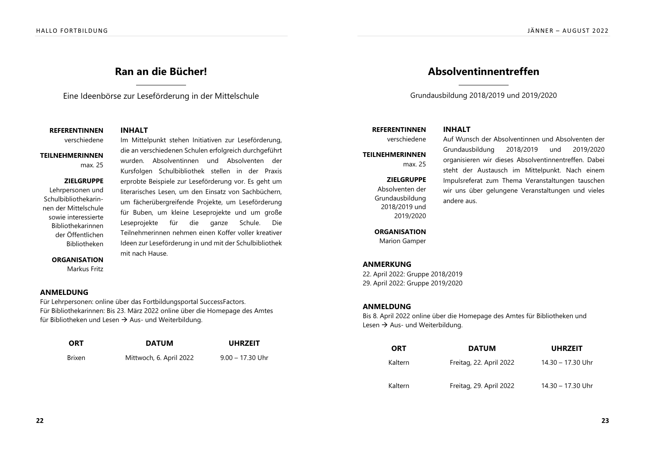# **Ran an die Bücher!**

Eine Ideenbörse zur Leseförderung in der Mittelschule

die an verschiedenen Schulen erfolgreich durchgeführt wurden. Absolventinnen und Absolventen der Kursfolgen Schulbibliothek stellen in der Praxis erprobte Beispiele zur Leseförderung vor. Es geht um literarisches Lesen, um den Einsatz von Sachbüchern, um fächerübergreifende Projekte, um Leseförderung für Buben, um kleine Leseprojekte und um große Leseprojekte für die ganze Schule. Die Teilnehmerinnen nehmen einen Koffer voller kreativer Ideen zur Leseförderung in und mit der Schulbibliothek

**REFERENTINNEN INHALT** 

verschiedene Im Mittelpunkt stehen Initiativen zur Leseförderung,

**TEILNEHMERINNEN** max 25

### ZIELGRUPPE

Lehrpersonen und Schulbibliothekarinnen der Mittelschule sowie interessierte Bibliothekarinnen der Öffentlichen **Bibliotheken** 

### **ORGANISATION**

Markus Fritz

## ANMELDUNG

Für Lehrpersonen: online über das Fortbildungsportal SuccessFactors. Für Bibliothekarinnen: Bis 23. März 2022 online über die Homepage des Amtes für Bibliotheken und Lesen  $\rightarrow$  Aus- und Weiterbildung.

mit nach Hause.

| <b>ORT</b> | <b>DATUM</b>            | <b>UHRZEIT</b>     |
|------------|-------------------------|--------------------|
| Brixen     | Mittwoch, 6. April 2022 | $9.00 - 17.30$ Uhr |

# **Absolventinnentreffen**

Grundausbildung 2018/2019 und 2019/2020

## **REFERENTINNEN INHALT**

**TEILNEHMERINNEN** max.  $25$ 

### ZIELGRUPPE

Absolventen der Grundausbildung 2018/2019 und 2019/2020

verschiedene Auf Wunsch der Absolventinnen und Absolventen der Grundausbildung 2018/2019 und 2019/2020 organisieren wir dieses Absolventinnentreffen. Dabei steht der Austausch im Mittelpunkt. Nach einem Impulsreferat zum Thema Veranstaltungen tauschen wir uns über gelungene Veranstaltungen und vieles andere aus.

### **ORGANISATION**

Marion Gamper

## ANMERKUNG

22. April 2022: Gruppe 2018/2019 29. April 2022: Gruppe 2019/2020

## ANMELDUNG

Bis 8. April 2022 online über die Homepage des Amtes für Bibliotheken und Lesen  $\rightarrow$  Aus- und Weiterbildung.

| ORT     | <b>DATUM</b>            | <b>UHRZEIT</b>    |
|---------|-------------------------|-------------------|
| Kaltern | Freitag, 22. April 2022 | 14.30 - 17.30 Uhr |
| Kaltern | Freitag, 29. April 2022 | 14.30 - 17.30 Uhr |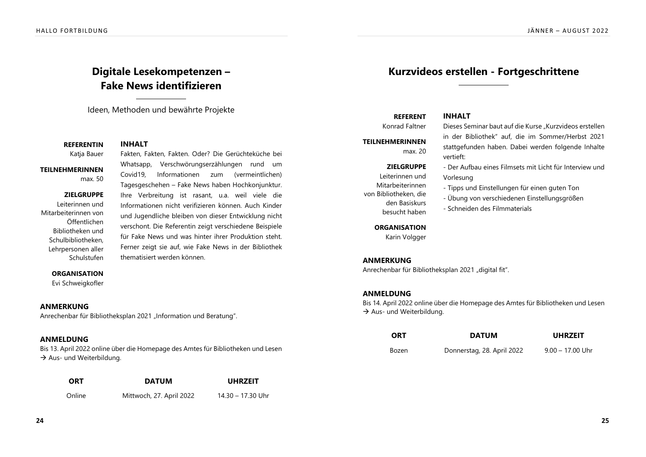# **Digitale Lesekompetenzen – Fake News identifizieren**

Ideen, Methoden und bewährte Projekte

**REFERENTIN INHALT** Katja Bauer Fakten, Fakten, Fakten. Oder? Die Gerüchteküche bei

## **TEILNEHMERINNEN**

max  $50$ 

### ZIELGRUPPE

Leiterinnen und Mitarbeiterinnen von Öffentlichen Bibliotheken und Schulbibliotheken, Lehrpersonen aller Schulstufen

Whatsapp, Verschwörungserzählungen rund um Covid19. Informationen zum (vermeintlichen) Tagesgeschehen - Fake News haben Hochkonjunktur. Ihre Verbreitung ist rasant, u.a. weil viele die Informationen nicht verifizieren können. Auch Kinder und Jugendliche bleiben von dieser Entwicklung nicht verschont. Die Referentin zeigt verschiedene Beispiele für Fake News und was hinter ihrer Produktion steht. Ferner zeigt sie auf, wie Fake News in der Bibliothek thematisiert werden können.

## **ORGANISATION**

Evi Schweigkofler

## ANMERKUNG

Anrechenbar für Bibliotheksplan 2021 "Information und Beratung".

# ANMELDUNG

Bis 13. April 2022 online über die Homepage des Amtes für Bibliotheken und Lesen  $\rightarrow$  Aus- und Weiterbildung.

| <b>ORT</b> | <b>DATUM</b>             | <b>UHRZEIT</b>    |
|------------|--------------------------|-------------------|
| Online     | Mittwoch, 27. April 2022 | 14.30 - 17.30 Uhr |

# **Kurzvideos erstellen - Fortgeschrittene**

in der Bibliothek" auf, die im Sommer/Herbst 2021 stattgefunden haben. Dabei werden folgende Inhalte

- Der Aufbau eines Filmsets mit Licht für Interview und

- Tipps und Einstellungen für einen guten Ton

# **REFERENT INHALT**

Konrad Faltner Dieses Seminar baut auf die Kurse "Kurzvideos erstellen

**TEILNEHMERINNEN** max $20$ 

# ZIELGRUPPE

Leiterinnen und Mitarbeiterinnen von Bibliotheken, die den Basiskurs

- Übung von verschiedenen Einstellungsgrößen

vertieft:

Vorlesung

- Schneiden des Filmmaterials

### **ORGANISATION**

besucht haben

Karin Volgger

## ANMERKUNG

Anrechenbar für Bibliotheksplan 2021 "digital fit".

## ANMELDUNG

Bis 14. April 2022 online über die Homepage des Amtes für Bibliotheken und Lesen  $\rightarrow$  Aus- und Weiterbildung.

| <b>ORT</b> | <b>DATUM</b>               | <b>UHRZEIT</b>     |
|------------|----------------------------|--------------------|
| Bozen      | Donnerstag, 28. April 2022 | $9.00 - 17.00$ Uhr |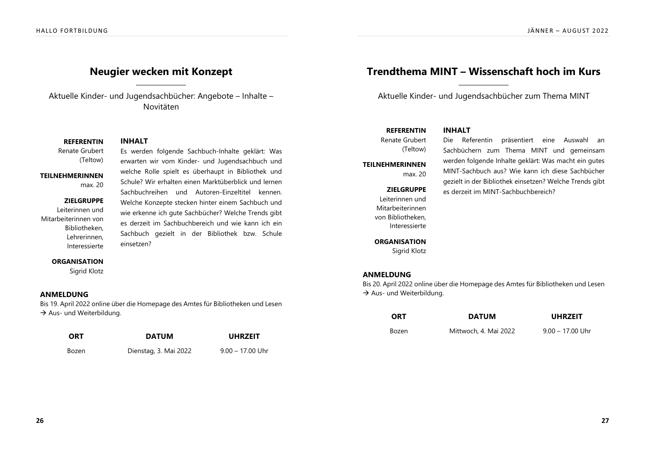# **Neugier wecken mit Konzept**

Aktuelle Kinder- und Jugendsachbücher: Angebote - Inhalte -Novitäten

### **REFERENTIN INHALT**

Renate Grubert (Teltow)

# erwarten wir vom Kinder- und Jugendsachbuch und

**TEII NEHMERINNEN** max. 20

ZIELGRUPPE Leiterinnen und Mitarbeiterinnen von Bibliotheken. Lehrerinnen.

# welche Rolle spielt es überhaupt in Bibliothek und Schule? Wir erhalten einen Marktüberblick und lernen Sachbuchreihen und Autoren-Einzeltitel kennen. Welche Konzepte stecken hinter einem Sachbuch und wie erkenne ich qute Sachbücher? Welche Trends gibt es derzeit im Sachbuchbereich und wie kann ich ein Sachbuch gezielt in der Bibliothek bzw. Schule einsetzen?

Es werden folgende Sachbuch-Inhalte geklärt: Was

#### **ORGANISATION**

Sigrid Klotz

Interessierte

### ANMELDUNG

Bis 19. April 2022 online über die Homepage des Amtes für Bibliotheken und Lesen  $\rightarrow$  Aus- und Weiterbildung.

| <b>ORT</b> | <b>DATUM</b>          | <b>UHRZEIT</b>     |
|------------|-----------------------|--------------------|
| Bozen      | Dienstag, 3. Mai 2022 | $9.00 - 17.00$ Uhr |

# **Trendthema MINT - Wissenschaft hoch im Kurs**

Aktuelle Kinder- und Jugendsachbücher zum Thema MINT

es derzeit im MINT-Sachbuchbereich?

Die Referentin präsentiert eine Auswahl an Sachbüchern zum Thema MINT und gemeinsam werden folgende Inhalte geklärt: Was macht ein gutes MINT-Sachbuch aus? Wie kann ich diese Sachbücher gezielt in der Bibliothek einsetzen? Welche Trends gibt

# **REFERENTIN INHALT**

Renate Grubert (Teltow)

# **TFII NFHMFRINNFN**

max. 20

#### ZIELGRUPPE

Leiterinnen und Mitarbeiterinnen von Bibliotheken, Interessierte

# **ORGANISATION**

Sigrid Klotz

### ANMELDUNG

Bis 20. April 2022 online über die Homepage des Amtes für Bibliotheken und Lesen  $\rightarrow$  Aus- und Weiterbildung.

| <b>ORT</b> | <b>DATUM</b>          | <b>UHRZEIT</b>     |
|------------|-----------------------|--------------------|
| Bozen      | Mittwoch, 4. Mai 2022 | $9.00 - 17.00$ Uhr |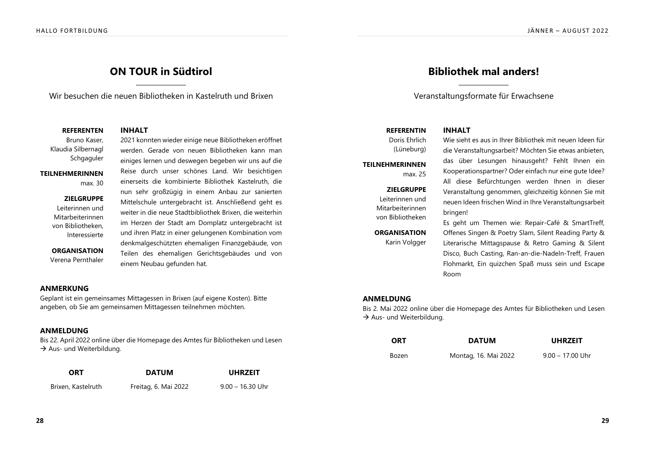# **ON TOUR in Südtirol**

Wir besuchen die neuen Bibliotheken in Kastelruth und Brixen

**REFERENTEN INHALT** 

Bruno Kaser, Klaudia Silbernagl Schgaguler

# **TFII NFHMFRINNFN**

 $max$  30

ZIELGRUPPE Leiterinnen und

Mitarbeiterinnen von Bibliotheken. Interessierte

**ORGANISATION** Verena Pernthaler

werden. Gerade von neuen Bibliotheken kann man einiges lernen und deswegen begeben wir uns auf die Reise durch unser schönes Land. Wir besichtigen einerseits die kombinierte Bibliothek Kastelruth, die nun sehr großzügig in einem Anbau zur sanierten Mittelschule untergebracht ist. Anschließend geht es weiter in die neue Stadtbibliothek Brixen, die weiterhin im Herzen der Stadt am Domplatz untergebracht ist und ihren Platz in einer gelungenen Kombination vom denkmalgeschützten ehemaligen Finanzgebäude, von Teilen des ehemaligen Gerichtsgebäudes und von einem Neubau gefunden hat.

2021 konnten wieder einige neue Bibliotheken eröffnet

# ANMERKUNG

Geplant ist ein gemeinsames Mittagessen in Brixen (auf eigene Kosten). Bitte angeben, ob Sie am gemeinsamen Mittagessen teilnehmen möchten.

# ANMELDUNG

Bis 22. April 2022 online über die Homepage des Amtes für Bibliotheken und Lesen  $\rightarrow$  Aus- und Weiterbildung.

| ORT                | <b>DATUM</b>         | <b>UHRZEIT</b>     |
|--------------------|----------------------|--------------------|
| Brixen, Kastelruth | Freitag, 6. Mai 2022 | $9.00 - 16.30$ Uhr |

# **Bibliothek mal anders!**

Veranstaltungsformate für Erwachsene

## **REFERENTIN INHALT**

Doris Ehrlich (Lüneburg)

# **TEII NEHMERINNEN** max $25$

### ZIELGRUPPE

Leiterinnen und Mitarbeiterinnen von Bibliotheken

# **ORGANISATION**

Karin Volgger

Wie sieht es aus in Ihrer Bibliothek mit neuen Ideen für die Veranstaltungsarbeit? Möchten Sie etwas anbieten, das über Lesungen hinausgeht? Fehlt Ihnen ein Kooperationspartner? Oder einfach nur eine qute Idee? All diese Befürchtungen werden Ihnen in dieser Veranstaltung genommen, gleichzeitig können Sie mit neuen Ideen frischen Wind in Ihre Veranstaltungsarbeit bringen!

Es geht um Themen wie: Repair-Café & SmartTreff, Offenes Singen & Poetry Slam, Silent Reading Party & Literarische Mittagspause & Retro Gaming & Silent Disco, Buch Casting, Ran-an-die-Nadeln-Treff, Frauen Flohmarkt, Ein quizchen Spaß muss sein und Escape Room

# ANMELDUNG

Bis 2. Mai 2022 online über die Homepage des Amtes für Bibliotheken und Lesen  $\rightarrow$  Aus- und Weiterbildung.

| <b>ORT</b> | <b>DATUM</b>         | <b>UHRZEIT</b>     |
|------------|----------------------|--------------------|
| Bozen      | Montag, 16. Mai 2022 | $9.00 - 17.00$ Uhr |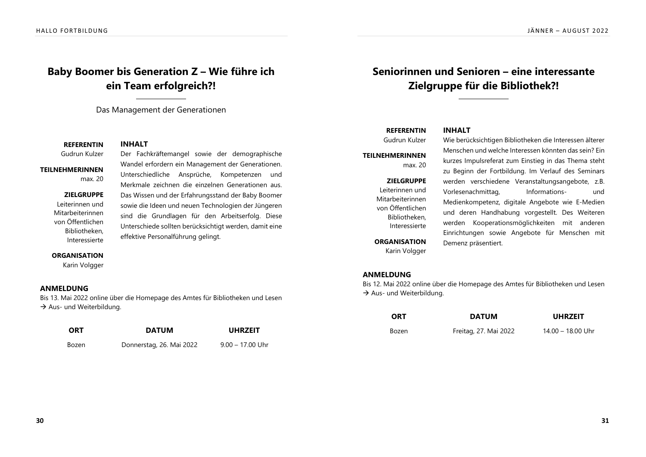# Baby Boomer bis Generation Z – Wie führe ich **ein Team erfolgreich?!**

Das Management der Generationen

**REFERENTIN INHALT** Gudrun Kulzer

**TFII NFHMFRINNFN** 

 $max$  20

ZIELGRUPPE

Leiterinnen und Mitarbeiterinnen von Öffentlichen Bibliotheken. Interessierte

Wandel erfordern ein Management der Generationen. Unterschiedliche Ansprüche, Kompetenzen und Merkmale zeichnen die einzelnen Generationen aus. Das Wissen und der Erfahrungsstand der Baby Boomer sowie die Ideen und neuen Technologien der Jüngeren sind die Grundlagen für den Arbeitserfolg. Diese Unterschiede sollten berücksichtigt werden, damit eine effektive Personalführung gelingt.

Der Fachkräftemangel sowie der demographische

#### **ORGANISATION**

Karin Volgger

## ANMELDUNG

Bis 13. Mai 2022 online über die Homepage des Amtes für Bibliotheken und Lesen  $\rightarrow$  Aus- und Weiterbildung.

| <b>ORT</b> | <b>DATUM</b>             | <b>UHRZEIT</b>     |
|------------|--------------------------|--------------------|
| Bozen      | Donnerstag, 26. Mai 2022 | $9.00 - 17.00$ Uhr |

# **Seniorinnen und Senioren – eine interessante Zielgruppe für die Bibliothek?!**

# **REFERENTIN INHALT**

Gudrun Kulzer

**TEILNEHMERINNEN**  $max$  20

### ZIELGRUPPE

Leiterinnen und Mitarbeiterinnen von Öffentlichen Bibliotheken. Interessierte

**ORGANISATION** Karin Volgger

Wie berücksichtigen Bibliotheken die Interessen älterer Menschen und welche Interessen könnten das sein? Ein kurzes Impulsreferat zum Einstieg in das Thema steht zu Beginn der Fortbildung. Im Verlauf des Seminars werden verschiedene Veranstaltungsangebote, z.B. Vorlesenachmittag, lnformations- und Medienkompetenz, digitale Angebote wie E-Medien und deren Handhabung vorgestellt. Des Weiteren werden Kooperationsmöglichkeiten mit anderen Einrichtungen sowie Angebote für Menschen mit Demenz präsentiert.

## ANMELDUNG

Bis 12. Mai 2022 online über die Homepage des Amtes für Bibliotheken und Lesen  $\rightarrow$  Aus- und Weiterbildung.

| <b>ORT</b> | <b>DATUM</b>          | <b>UHRZEIT</b>      |
|------------|-----------------------|---------------------|
| Bozen      | Freitag, 27. Mai 2022 | $14.00 - 18.00$ Uhr |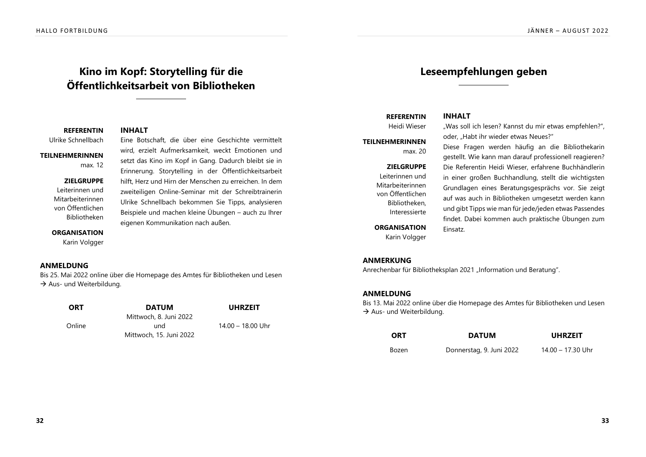# **Kino im Kopf: Storytelling für die** Öffentlichkeitsarbeit von Bibliotheken

**REFERENTIN INHALT** 

KQHJDBGMDKKA@BG HMD NSRBG@ES~ CHD wADQ DHMD DRBGHBGSD UDQLHSSDKS

**TEILNEHMERINNEN** 

wird, erzielt Aufmerksamkeit, weckt Emotionen und

max. 12

### ZIELGRUPPE

Leiterinnen und Mitarbeiterinnen von Öffentlichen **Bibliotheken** 

### **ORGANISATION**

Karin Volgger

## ANMELDUNG

Bis 25. Mai 2022 online über die Homepage des Amtes für Bibliotheken und Lesen  $\rightarrow$  Aus- und Weiterbildung.

> $Lind$ Mittwoch, 15. Juni 2022

Online

# Mittwoch, 8. Juni 2022

eigenen Kommunikation nach außen.

setzt das Kino im Kopf in Gang. Dadurch bleibt sie in Erinnerung. Storytelling in der Öffentlichkeitsarbeit hilft. Herz und Hirn der Menschen zu erreichen. In dem zweiteiligen Online-Seminar mit der Schreibtrainerin Ulrike Schnellbach bekommen Sie Tipps, analysieren Beispiele und machen kleine Übungen - auch zu Ihrer

 $14.00 - 18.00$  Uhr

# Leseempfehlungen geben

# **REFERENTIN INHALT**

**TEILNEHMERINNEN** max $20$ 

> ZIELGRUPPE Leiterinnen und Mitarbeiterinnen von Öffentlichen Bibliotheken. Interessierte

**ORGANISATION** Karin Volgger

Heidi Wieser and Was soll ich lesen? Kannst du mir etwas empfehlen?". oder, "Habt ihr wieder etwas Neues?"

> Diese Fragen werden häufig an die Bibliothekarin gestellt. Wie kann man darauf professionell reagieren? Die Referentin Heidi Wieser, erfahrene Buchhändlerin in einer großen Buchhandlung, stellt die wichtigsten Grundlagen eines Beratungsgesprächs vor. Sie zeigt auf was auch in Bibliotheken umgesetzt werden kann und gibt Tipps wie man für jede/jeden etwas Passendes findet. Dabei kommen auch praktische Übungen zum Finsatz.

## ANMERKUNG

Anrechenbar für Bibliotheksplan 2021 "Information und Beratung".

## ANMELDUNG

Bis 13. Mai 2022 online über die Homepage des Amtes für Bibliotheken und Lesen  $\rightarrow$  Aus- und Weiterbildung.

| <b>ORT</b> | <b>DATUM</b>             | <b>UHRZEIT</b>    |
|------------|--------------------------|-------------------|
| Bozen      | Donnerstag, 9. Juni 2022 | 14.00 - 17.30 Uhr |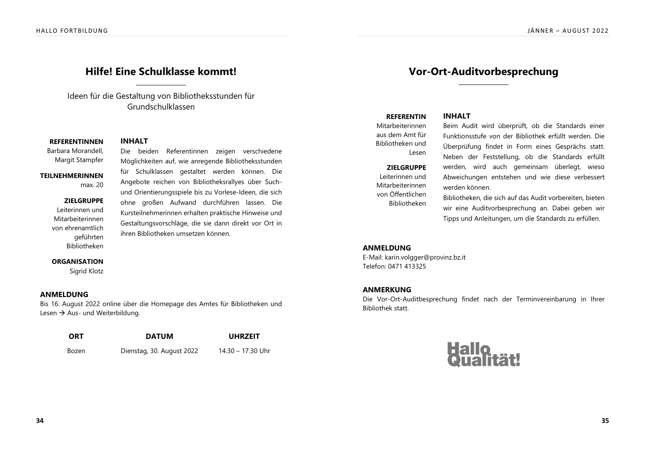# **Hilfe! Eine Schulklasse kommt!**

Ideen für die Gestaltung von Bibliotheksstunden für Grundschulklassen

## **REFERENTINNEN INHALT**

Barbara Morandell, Margit Stampfer

# Die beiden Referentinnen zeigen verschiedene

## **TEII NEHMERINNEN** max. 20

ZIELGRUPPE Leiterinnen und Mitarbeiterinnen von ehrenamtlich geführten Bibliotheken

Möglichkeiten auf, wie anregende Bibliotheksstunden für Schulklassen gestaltet werden können. Die Angebote reichen von Bibliotheksrallyes über Suchund Orientierungsspiele bis zu Vorlese-Ideen, die sich ohne großen Aufwand durchführen lassen. Die Kursteilnehmerinnen erhalten praktische Hinweise und Gestaltungsvorschläge, die sie dann direkt vor Ort in ihren Bibliotheken umsetzen können.

#### **ORGANISATION**

Sigrid Klotz

### ANMELDUNG

Bis 16. August 2022 online über die Homepage des Amtes für Bibliotheken und Lesen  $\rightarrow$  Aus- und Weiterbildung.

| ORT   | <b>DATUM</b>              | <b>UHRZEIT</b>    |
|-------|---------------------------|-------------------|
| Bozen | Dienstag, 30. August 2022 | 14.30 – 17.30 Uhr |

# **Vor-Ort-Auditvorbesprechung**

### **REFERENTIN INHALT**

Mitarbeiterinnen aus dem Amt für Bibliotheken und Lesen

#### ZIELGRUPPE

Leiterinnen und Mitarbeiterinnen von Öffentlichen Bibliotheken

Beim Audit wird überprüft, ob die Standards einer Funktionsstufe von der Bibliothek erfüllt werden. Die Überprüfung findet in Form eines Gesprächs statt. Neben der Feststellung, ob die Standards erfüllt werden, wird auch gemeinsam überlegt, wieso Abweichungen entstehen und wie diese verbessert werden können

Bibliotheken, die sich auf das Audit vorbereiten, bieten wir eine Auditvorbesprechung an. Dabei geben wir Tipps und Anleitungen, um die Standards zu erfüllen.

### ANMELDUNG

E-Mail: karin.volgger@provinz.bz.it Telefon: 0471 413325

### ANMERKUNG

Die Vor-Ort-Auditbesprechung findet nach der Terminvereinbarung in Ihrer Bibliothek statt.

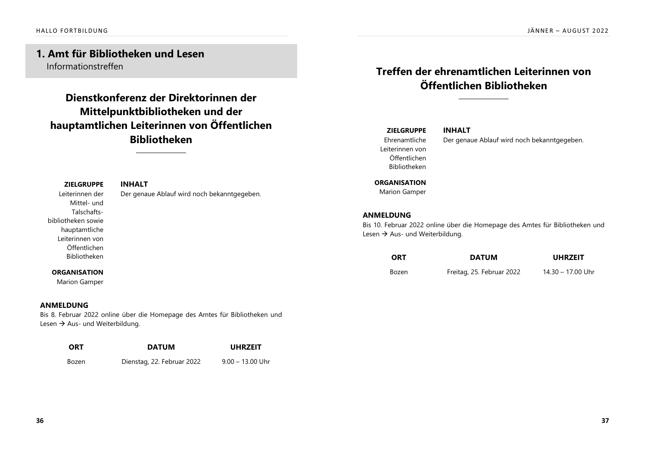# **1. Amt für Bibliotheken und Lesen** Informationstreffen

# **Dienstkonferenz der Direktorinnen der Mittelpunktbibliotheken und der** hauptamtlichen Leiterinnen von Öffentlichen **Bibliotheken**

### **ZIELGRUPPE**

Leiterinnen der Mittel- und Talschaftsbibliotheken sowie hauptamtliche Leiterinnen von Öffentlichen Bibliotheken

## **INHALT** Der genaue Ablauf wird noch bekanntgegeben.

## **ORGANISATION**

Marion Gamper

## ANMELDUNG

Bis 8. Februar 2022 online über die Homepage des Amtes für Bibliotheken und Lesen  $\rightarrow$  Aus- und Weiterbildung.

| <b>ORT</b> | <b>DATUM</b>               | <b>UHRZEIT</b>     |
|------------|----------------------------|--------------------|
| Bozen      | Dienstag, 22. Februar 2022 | $9.00 - 13.00$ Uhr |

# **Treffen der ehrenamtlichen Leiterinnen von** Öffentlichen Bibliotheken

**INHALT** 

## **ZIFIGRUPPF** Ehrenamtliche Leiterinnen von

Öffentlichen Bibliotheken Der genaue Ablauf wird noch bekanntgegeben.

**ORGANISATION** 

Marion Gamper

## ANMELDUNG

Bis 10. Februar 2022 online über die Homepage des Amtes für Bibliotheken und Lesen  $\rightarrow$  Aus- und Weiterbildung.

| <b>ORT</b> | <b>DATUM</b>              | <b>UHRZEIT</b>    |
|------------|---------------------------|-------------------|
| Bozen      | Freitag, 25. Februar 2022 | 14.30 - 17.00 Uhr |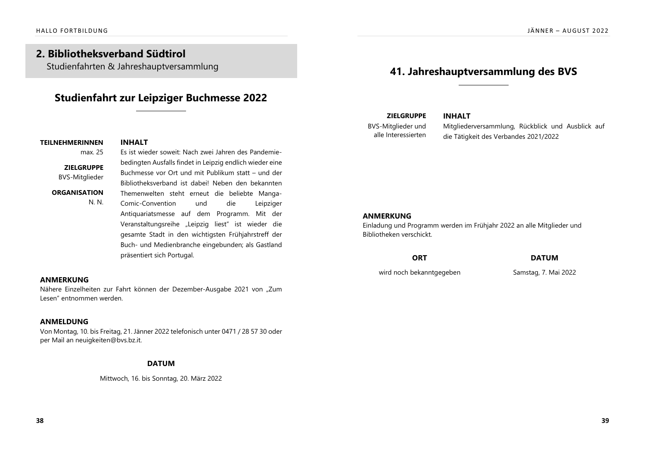# **2. Bibliotheksverband Südtirol**

Studienfahrten & Jahreshauptversammlung

# **Studienfahrt zur Leipziger Buchmesse 2022**

# **TEILNEHMERINNEN INHALT**

# max. 25 Es ist wieder soweit: Nach zwei Jahren des Pandemie-

ZIELGRUPPE **BVS-Mitglieder** 

## ORGANISATION

Bibliotheksverband ist dabei! Neben den bekannten Themenwelten steht erneut die beliebte Manga-Comic-Convention und die Leipziger Antiquariatsmesse auf dem Programm. Mit der Veranstaltungsreihe "Leipzig liest" ist wieder die gesamte Stadt in den wichtigsten Frühjahrstreff der Buch- und Medienbranche eingebunden; als Gastland präsentiert sich Portugal. N. N.

bedingten Ausfalls findet in Leipzig endlich wieder eine Buchmesse vor Ort und mit Publikum statt - und der

## ANMERKUNG

Nähere Einzelheiten zur Fahrt können der Dezember-Ausgabe 2021 von "Zum Lesen" entnommen werden.

# ANMELDUNG

Von Montag, 10. bis Freitag, 21. Jänner 2022 telefonisch unter 0471 / 28 57 30 oder per Mail an neuigkeiten@bvs.bz.it.

# **DATUM**

Mittwoch, 16. bis Sonntag, 20. März 2022

# **41. Jahreshauptversammlung des BVS**

**INHALT** 

**ZIELGRUPPE BVS-Mitglieder und** alle Interessierten

Mitaliederversammlung, Rückblick und Ausblick auf die Tätigkeit des Verbandes 2021/2022

# ANMERKUNG

Einladung und Programm werden im Frühjahr 2022 an alle Mitglieder und Bibliotheken verschickt

| <b>ORT</b>               | <b>DATUM</b>         |
|--------------------------|----------------------|
| wird noch bekanntgegeben | Samstag, 7. Mai 2022 |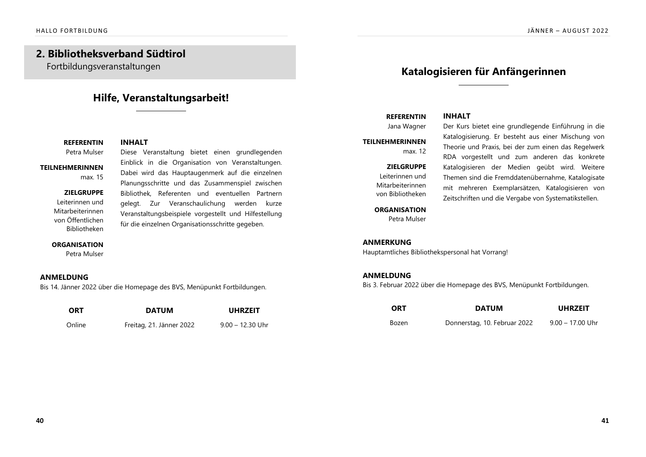# **2. Bibliotheksverband Südtirol**

Fortbildungsveranstaltungen

# **Hilfe, Veranstaltungsarbeit!**

**REFERENTIN INHALT** DSQ@TKRDQ HDRD DQ@MRS@KSTMF AHDSDS DHMDM FQTMCKDFDMCDM

## **TEILNEHMERINNEN** max. 15

#### ZIELGRUPPE

Leiterinnen und Mitarbeiterinnen von Öffentlichen **Bibliotheken** 

Einblick in die Organisation von Veranstaltungen. Dabei wird das Hauptaugenmerk auf die einzelnen Planungsschritte und das Zusammenspiel zwischen Bibliothek, Referenten und eventuellen Partnern gelegt. Zur Veranschaulichung werden kurze Veranstaltungsbeispiele vorgestellt und Hilfestellung für die einzelnen Organisationsschritte gegeben.

#### **ORGANISATION**

Petra Mulser

## ANMELDUNG

Bis 14. Jänner 2022 über die Homepage des BVS, Menüpunkt Fortbildungen.

| <b>ORT</b> | <b>DATUM</b>             | <b>UHRZEIT</b>     |
|------------|--------------------------|--------------------|
| Online     | Freitag, 21. Jänner 2022 | $9.00 - 12.30$ Uhr |

# **Katalogisieren für Anfängerinnen**

Katalogisierung. Er besteht aus einer Mischung von Theorie und Praxis, bei der zum einen das Regelwerk RDA vorgestellt und zum anderen das konkrete Katalogisieren der Medien geübt wird. Weitere Themen sind die Fremddatenübernahme, Katalogisate mit mehreren Exemplarsätzen, Katalogisieren von Zeitschriften und die Vergabe von Systematikstellen.

## **REFERENTIN INHALT** Jana Wagner ber Kurs bietet eine grundlegende Einführung in die

**TEILNEHMERINNEN** max $12$ 

## ZIELGRUPPE

Leiterinnen und Mitarbeiterinnen von Bibliotheken

#### **ORGANISATION**

Petra Mulser

## ANMERKUNG

Hauptamtliches Bibliothekspersonal hat Vorrang!

## ANMELDUNG

Bis 3. Februar 2022 über die Homepage des BVS, Menüpunkt Fortbildungen.

| <b>ORT</b> | <b>DATUM</b>                 | <b>UHRZEIT</b>     |
|------------|------------------------------|--------------------|
| Bozen      | Donnerstag, 10. Februar 2022 | $9.00 - 17.00$ Uhr |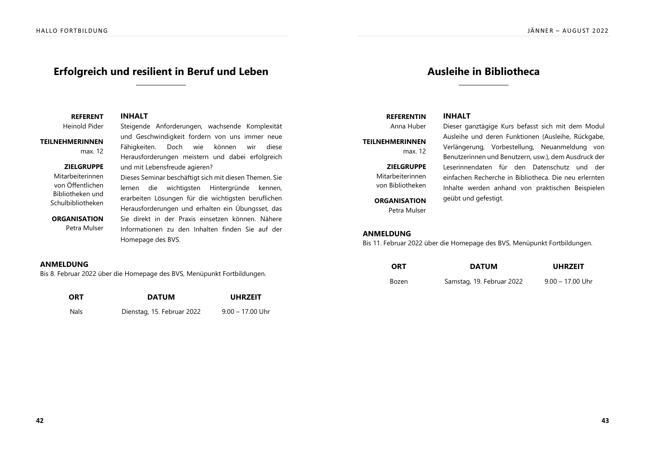# **Erfolgreich und resilient in Beruf und Leben**

**REFERENT INHALT** 

**TEILNEHMERINNEN** max. 12

Heinold Pider Steigende Anforderungen, wachsende Komplexität und Geschwindigkeit fordern von uns immer neue Fähigkeiten. Doch wie können wir diese Herausforderungen meistern und dabei erfolgreich und mit Lebensfreude agieren?

#### **ZIELGRUPPE** Mitarbeiterinnen

von Öffentlichen Bibliotheken und Schulbibliotheken

**ORGANISATION** 

Petra Mulser

# Dieses Seminar beschäftigt sich mit diesen Themen. Sie lernen die wichtigsten Hintergründe kennen, erarbeiten Lösungen für die wichtigsten beruflichen Herausforderungen und erhalten ein Übungsset, das Sie direkt in der Praxis einsetzen können. Nähere Informationen zu den Inhalten finden Sie auf der Homepage des BVS.

## ANMELDUNG

Bis 8. Februar 2022 über die Homepage des BVS, Menüpunkt Fortbildungen.

| <b>ORT</b> | <b>DATUM</b>               | <b>UHRZEIT</b>     |
|------------|----------------------------|--------------------|
| Nals       | Dienstag, 15. Februar 2022 | $9.00 - 17.00$ Uhr |

# **Ausleihe in Bibliotheca**

# **REFERENTIN INHALT**

**TEILNEHMERINNEN** max $12$ 

ZIELGRUPPE

Mitarbeiterinnen von Bibliotheken

**ORGANISATION** Petra Mulser

Anna Huber Dieser ganztägige Kurs befasst sich mit dem Modul Ausleihe und deren Funktionen (Ausleihe, Rückgabe, Verlängerung, Vorbestellung, Neuanmeldung von Benutzerinnen und Benutzern, usw.), dem Ausdruck der Leserinnendaten für den Datenschutz und der einfachen Recherche in Bibliotheca. Die neu erlernten Inhalte werden anhand von praktischen Beispielen geübt und gefestigt.

## ANMELDUNG

Bis 11. Februar 2022 über die Homepage des BVS, Menüpunkt Fortbildungen.

| <b>ORT</b> | <b>DATUM</b>              | <b>UHRZEIT</b>     |
|------------|---------------------------|--------------------|
| Bozen      | Samstag, 19. Februar 2022 | $9.00 - 17.00$ Uhr |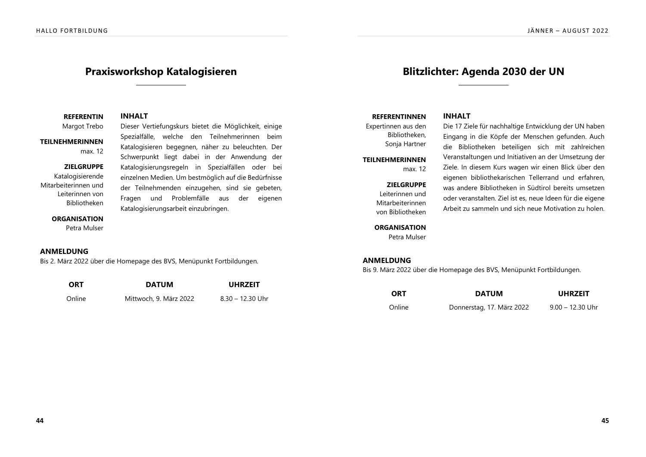# **Praxisworkshop Katalogisieren**

Spezialfälle, welche den Teilnehmerinnen beim Katalogisieren begegnen, näher zu beleuchten. Der Schwerpunkt liegt dabei in der Anwendung der Katalogisierungsregeln in Spezialfällen oder bei einzelnen Medien. Um bestmöglich auf die Bedürfnisse der Teilnehmenden einzugehen, sind sie gebeten, Fragen und Problemfälle aus der eigenen

#### **REFERENTIN INHALT**

Margot Trebo Dieser Vertiefungskurs bietet die Möglichkeit, einige

### **TEILNEHMERINNEN** max.  $12$

#### **ZIELGRUPPE**

Katalogisierende Mitarbeiterinnen und Leiterinnen von Bibliotheken

#### **ORGANISATION**

Petra Mulser

### ANMELDUNG

Bis 2. März 2022 über die Homepage des BVS, Menüpunkt Fortbildungen.

| <b>ORT</b> | <b>DATUM</b>           | <b>UHRZEIT</b>     |
|------------|------------------------|--------------------|
| Online     | Mittwoch, 9. März 2022 | $8.30 - 12.30$ Uhr |

Katalogisierungsarbeit einzubringen.

# **Blitzlichter: Agenda 2030 der UN**

#### **REFERENTINNEN INHALT**

Expertinnen aus den Bibliotheken, Sonja Hartner

### **TEILNEHMERINNEN**

# ZIELGRUPPE

max $12$ 

Leiterinnen und Mitarbeiterinnen von Bibliotheken

**ORGANISATION** Petra Mulser

Die 17 Ziele für nachhaltige Entwicklung der UN haben Eingang in die Köpfe der Menschen gefunden. Auch die Bibliotheken beteiligen sich mit zahlreichen Veranstaltungen und Initiativen an der Umsetzung der Ziele. In diesem Kurs wagen wir einen Blick über den eigenen bibliothekarischen Tellerrand und erfahren, was andere Bibliotheken in Südtirol bereits umsetzen oder veranstalten. Ziel ist es, neue Ideen für die eigene Arbeit zu sammeln und sich neue Motivation zu holen.

## ANMELDUNG

Bis 9. März 2022 über die Homepage des BVS, Menüpunkt Fortbildungen.

| <b>ORT</b> | <b>DATUM</b>              | <b>UHRZEIT</b>     |
|------------|---------------------------|--------------------|
| Online     | Donnerstag, 17. März 2022 | $9.00 - 12.30$ Uhr |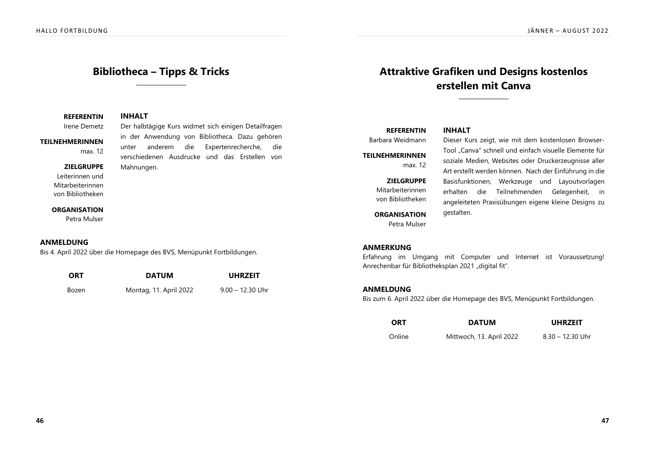# **Bibliotheca - Tipps & Tricks**

in der Anwendung von Bibliotheca. Dazu gehören unter anderem die Expertenrecherche, die verschiedenen Ausdrucke und das Erstellen von

### **REFERENTIN INHALT**

Irene Demetz Der halbtägige Kurs widmet sich einigen Detailfragen

# **TEILNEHMERINNEN**

max.  $12$ 

#### **ZIELGRUPPE**

Leiterinnen und Mitarbeiterinnen von Bibliotheken

#### **ORGANISATION**

Petra Mulser

## ANMELDUNG

Bis 4. April 2022 über die Homepage des BVS, Menüpunkt Fortbildungen.

Mahnungen.

| <b>ORT</b> | <b>DATUM</b>           | <b>UHRZEIT</b>     |
|------------|------------------------|--------------------|
| Bozen      | Montag, 11. April 2022 | $9.00 - 12.30$ Uhr |

# Attraktive Grafiken und Designs kostenlos **erstellen mit Canva**

# **REFERENTIN INHALT**

## **TEILNEHMERINNEN** max. 12

## ZIELGRUPPE

Mitarbeiterinnen von Bibliotheken

**ORGANISATION** Petra Mulser

Barbara Weidmann Dieser Kurs zeigt, wie mit dem kostenlosen Browser-Tool "Canva" schnell und einfach visuelle Elemente für soziale Medien, Websites oder Druckerzeugnisse aller Art erstellt werden können. Nach der Einführung in die Basisfunktionen, Werkzeuge und Layoutvorlagen erhalten die Teilnehmenden Gelegenheit, in angeleiteten Praxisübungen eigene kleine Designs zu gestalten.

## ANMERKUNG

Erfahrung im Umgang mit Computer und Internet ist Voraussetzung! Anrechenbar für Bibliotheksplan 2021 "digital fit".

## ANMELDUNG

Bis zum 6. April 2022 über die Homepage des BVS, Menüpunkt Fortbildungen.

| <b>ORT</b> | <b>DATUM</b>             | <b>UHRZEIT</b>     |
|------------|--------------------------|--------------------|
| Online     | Mittwoch, 13. April 2022 | $8.30 - 12.30$ Uhr |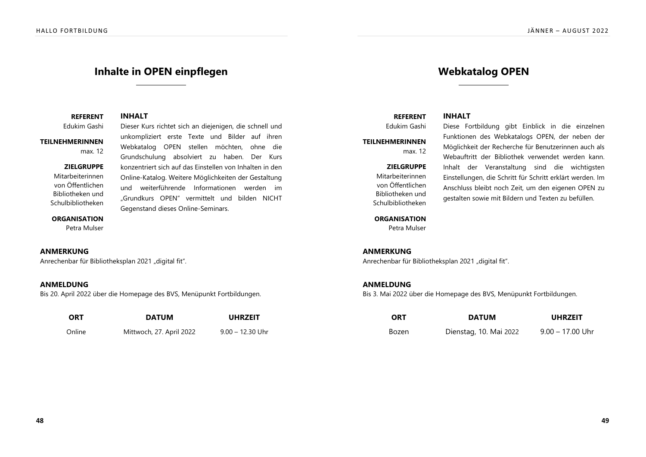# **Inhalte in OPEN einpflegen**

Dieser Kurs richtet sich an diejenigen, die schnell und unkompliziert erste Texte und Bilder auf ihren Webkatalog OPEN stellen möchten, ohne die Grundschulung absolviert zu haben. Der Kurs konzentriert sich auf das Einstellen von Inhalten in den Online-Katalog. Weitere Möglichkeiten der Gestaltung und weiterführende Informationen werden im "Grundkurs OPEN" vermittelt und bilden NICHT

## **REFERENT INHALT**

Edukim Gashi

## **TEILNEHMERINNEN** max. 12

### **ZIELGRUPPE**

Mitarbeiterinnen von Öffentlichen Bibliotheken und Schulbibliotheken

#### **ORGANISATION**

Petra Mulser

## ANMERKUNG

Anrechenbar für Bibliotheksplan 2021 "digital fit".

## ANMELDUNG

Bis 20. April 2022 über die Homepage des BVS, Menüpunkt Fortbildungen.

| <b>ORT</b> | <b>DATUM</b>             | <b>UHRZEIT</b>     |
|------------|--------------------------|--------------------|
| Online     | Mittwoch, 27. April 2022 | $9.00 - 12.30$ Uhr |

Gegenstand dieses Online-Seminars.

# **Webkatalog OPEN**

# **REFERENT INHALT**

Edukim Gashi

**TEILNEHMERINNEN** max $12$ 

> ZIELGRUPPE Mitarbeiterinnen von Öffentlichen Bibliotheken und Schulbibliotheken

## **ORGANISATION**

Petra Mulser

Diese Fortbildung aibt Einblick in die einzelnen Funktionen des Webkatalogs OPEN, der neben der Möglichkeit der Recherche für Benutzerinnen auch als Webauftritt der Bibliothek verwendet werden kann. Inhalt der Veranstaltung sind die wichtigsten Einstellungen, die Schritt für Schritt erklärt werden. Im Anschluss bleibt noch Zeit, um den eigenen OPEN zu gestalten sowie mit Bildern und Texten zu befüllen.

ANMERKUNG

Anrechenbar für Bibliotheksplan 2021 "digital fit".

## ANMELDUNG

Bis 3. Mai 2022 über die Homepage des BVS, Menüpunkt Fortbildungen.

| <b>ORT</b> | <b>DATUM</b>           | <b>UHRZEIT</b>     |
|------------|------------------------|--------------------|
| Bozen      | Dienstag, 10. Mai 2022 | $9.00 - 17.00$ Uhr |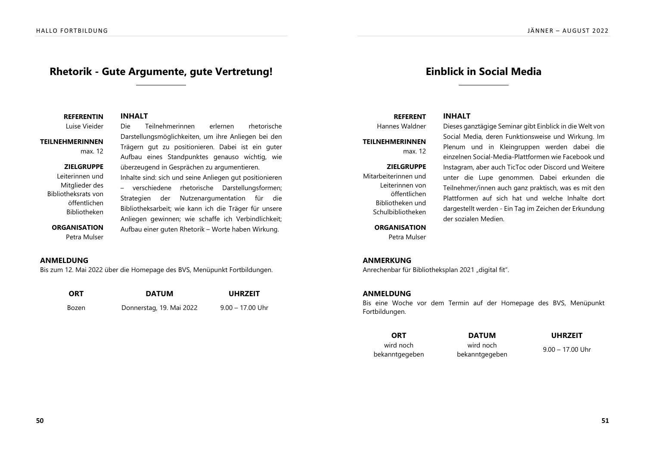# Rhetorik - Gute Argumente, gute Vertretung!

**REFERENTIN INHALT** 

Luise Vieider Die Teilnehmerinnen erlernen rhetorische

# **TEILNEHMERINNEN**

Darstellungsmöglichkeiten, um ihre Anliegen bei den max. 12

#### **ZIELGRUPPE**

Leiterinnen und Mitglieder des Bibliotheksrats von öffentlichen Bibliotheken

### **ORGANISATION** Petra Mulser

Trägern gut zu positionieren. Dabei ist ein guter Aufbau eines Standpunktes genauso wichtig, wie überzeugend in Gesprächen zu argumentieren. Inhalte sind: sich und seine Anliegen gut positionieren - verschiedene rhetorische Darstellungsformen; Strategien der Nutzenargumentation für die Bibliotheksarbeit; wie kann ich die Träger für unsere Anliegen gewinnen; wie schaffe ich Verbindlichkeit; Aufbau einer guten Rhetorik – Worte haben Wirkung.

### ANMELDUNG

Bis zum 12. Mai 2022 über die Homepage des BVS, Menüpunkt Fortbildungen.

| <b>ORT</b> | <b>DATUM</b>             | <b>UHRZEIT</b>     |
|------------|--------------------------|--------------------|
| Bozen      | Donnerstag, 19. Mai 2022 | $9.00 - 17.00$ Uhr |

# **Einblick in Social Media**

# **REFERENT INHALT**

**TEILNEHMERINNEN** max $12$ 

ZIELGRUPPE Mitarbeiterinnen und Leiterinnen von öffentlichen Bibliotheken und Schulbibliotheken

#### **ORGANISATION**

Petra Mulser

Hannes Waldner Dieses ganztägige Seminar gibt Einblick in die Welt von Social Media, deren Funktionsweise und Wirkung. Im Plenum und in Kleingruppen werden dabei die einzelnen Social-Media-Plattformen wie Facebook und Instagram, aber auch TicToc oder Discord und Weitere unter die Lupe genommen. Dabei erkunden die Teilnehmer/innen auch ganz praktisch, was es mit den Plattformen auf sich hat und welche Inhalte dort dargestellt werden - Ein Tag im Zeichen der Erkundung der sozialen Medien.

### ANMERKUNG

Anrechenbar für Bibliotheksplan 2021 "digital fit".

### ANMELDUNG

Bis eine Woche vor dem Termin auf der Homepage des BVS, Menüpunkt Fortbildungen.

# wird noch bekanntgegeben

 wird noch

ADJ MIGHT MIGHT MIGHT MIGHT MIGHT MADE SERVER THE MANUSON OF THE SAME SERVER THAT MAY NOTE OF THE SAME SERVER THAN MANUSON MANUSON MANUSON MANUSON MANUSON MANUSON MANUSON MANUSON MANUSON MANUSON MANUSON MANUSON MANUSON MAN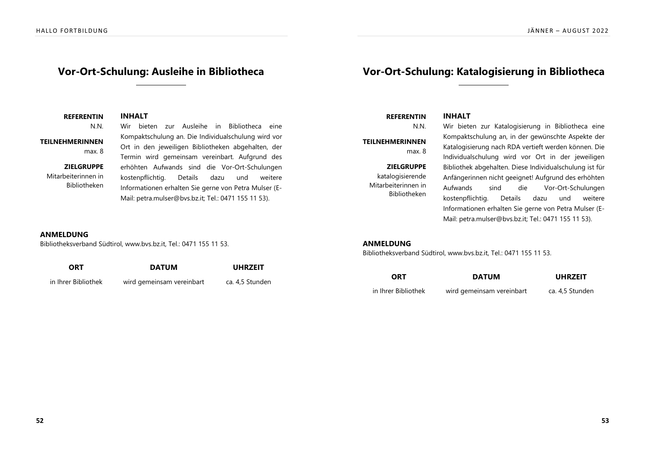# **Vor-Ort-Schulung: Ausleihe in Bibliotheca**

# **Vor-Ort-Schulung: Katalogisierung in Bibliotheca**

**REFERENTIN INHALT** N.N. Wir bieten zur Ausleihe in Bibliotheca eine Kompaktschulung an. Die Individualschulung wird vor Ort in den jeweiligen Bibliotheken abgehalten, der Termin wird gemeinsam vereinbart. Aufgrund des erhöhten Aufwands sind die Vor-Ort-Schulungen kostenpflichtig. Details dazu und weitere Informationen erhalten Sie gerne von Petra Mulser (E-Mail: petra.mulser@bvs.bz.it; Tel.: 0471 155 11 53). **TEILNEHMERINNEN** max. 8 **ZIELGRUPPE** Mitarbeiterinnen in Bibliotheken

**REFERENTIN INHALT** 

**TEILNEHMERINNEN** max. 8

ZIELGRUPPE katalogisierende Mitarbeiterinnen in Bibliotheken

N.N. Wir bieten zur Katalogisierung in Bibliotheca eine Kompaktschulung an, in der gewünschte Aspekte der Katalogisierung nach RDA vertieft werden können. Die Individualschulung wird vor Ort in der jeweiligen Bibliothek abgehalten. Diese Individualschulung ist für Anfängerinnen nicht geeignet! Aufgrund des erhöhten Aufwands sind die Vor-Ort-Schulungen kostenpflichtig. Details dazu und weitere Informationen erhalten Sie gerne von Petra Mulser (E-Mail: petra.mulser@bvs.bz.it; Tel.: 0471 155 11 53).

## ANMELDUNG

Bibliotheksverband Südtirol, www.bvs.bz.it, Tel.: 0471 155 11 53.

| <b>ORT</b>          | <b>DATUM</b>              | <b>UHRZEIT</b>  |
|---------------------|---------------------------|-----------------|
| in Ihrer Bibliothek | wird gemeinsam vereinbart | ca. 4,5 Stunden |

### ANMELDUNG

Bibliotheksverband Südtirol, www.bvs.bz.it, Tel.: 0471 155 11 53.

| <b>ORT</b>          | <b>DATUM</b>              | <b>UHRZEIT</b>  |
|---------------------|---------------------------|-----------------|
| in Ihrer Bibliothek | wird gemeinsam vereinbart | ca. 4,5 Stunden |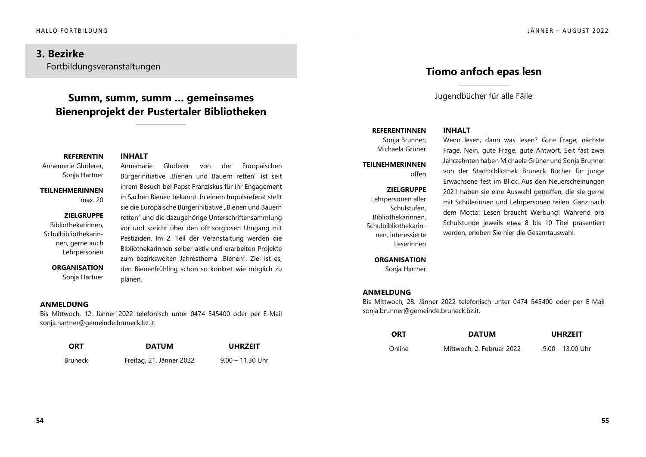# **3. Bezirke**

Fortbildungsveranstaltungen

# **Summ, summ, summ ... gemeinsames Bienenprojekt der Pustertaler Bibliotheken**

Annemarie

## **REFERENTIN INHALT**

Annemarie Gluderer, Sonja Hartner

**TFII NFHMFRINNFN** max. 20

#### ZIELGRUPPE

Bibliothekarinnen. Schulbibliothekarinnen, gerne auch Lehrpersonen

> **ORGANISATION** Sonja Hartner

ihrem Besuch bei Papst Franziskus für ihr Engagement in Sachen Bienen bekannt. In einem Impulsreferat stellt sie die Europäische Bürgerinitiative "Bienen und Bauern retten" und die dazugehörige Unterschriftensammlung vor und spricht über den oft sorglosen Umgang mit Pestiziden. Im 2. Teil der Veranstaltung werden die Bibliothekarinnen selber aktiv und erarbeiten Projekte zum bezirksweiten Jahresthema "Bienen". Ziel ist es, den Bienenfrühling schon so konkret wie möglich zu planen.

Bürgerinitiative "Bienen und Bauern retten" ist seit

Gluderer von der Europäischen

## ANMELDUNG

Bis Mittwoch, 12. Jänner 2022 telefonisch unter 0474 545400 oder per E-Mail sonja.hartner@gemeinde.bruneck.bz.it.

| <b>ORT</b> | <b>DATUM</b>             | <b>UHRZEIT</b>     |
|------------|--------------------------|--------------------|
| Bruneck    | Freitag, 21. Jänner 2022 | $9.00 - 11.30$ Uhr |

# **Tiomo anfoch epas lesn**

Jugendbücher für alle Fälle

# **REFERENTINNEN INHALT**

Sonja Brunner, Michaela Grüner

## **TFII NFHMFRINNFN** offen

## ZIELGRUPPE

Lehrpersonen aller Schulstufen, Bibliothekarinnen. Schulbibliothekarinnen, interessierte Leserinnen

> **ORGANISATION** Sonja Hartner

Wenn lesen, dann was lesen? Gute Frage, nächste Frage. Nein, gute Frage, gute Antwort. Seit fast zwei Jahrzehnten haben Michaela Grüner und Sonja Brunner von der Stadtbibliothek Bruneck Bücher für junge Erwachsene fest im Blick. Aus den Neuerscheinungen 2021 haben sie eine Auswahl getroffen, die sie gerne mit Schülerinnen und Lehrpersonen teilen. Ganz nach dem Motto: Lesen braucht Werbung! Während pro Schulstunde jeweils etwa 8 bis 10 Titel präsentiert werden, erleben Sie hier die Gesamtauswahl.

## ANMELDUNG

Bis Mittwoch, 28. Jänner 2022 telefonisch unter 0474 545400 oder per E-Mail sonja.brunner@gemeinde.bruneck.bz.it.

| <b>ORT</b> | <b>DATUM</b>              | <b>UHRZEIT</b>     |
|------------|---------------------------|--------------------|
| Online     | Mittwoch, 2. Februar 2022 | $9.00 - 13.00$ Uhr |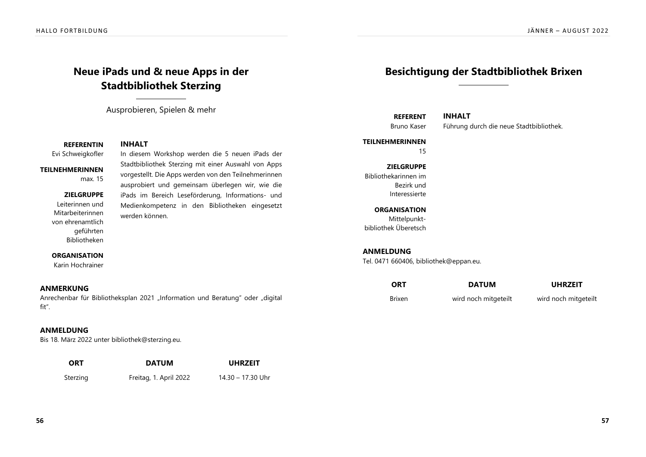# **Neue iPads und & neue Apps in der Stadtbibliothek Sterzing**

Ausprobieren, Spielen & mehr

**REFERENTIN INHALT** 

# Evi Schweigkofler ln diesem Workshop werden die 5 neuen iPads der

### **TEILNEHMERINNEN**

max. 15

### ZIELGRUPPE

Leiterinnen und Mitarbeiterinnen von ehrenamtlich geführten Bibliotheken

Stadtbibliothek Sterzing mit einer Auswahl von Apps vorgestellt. Die Apps werden von den Teilnehmerinnen ausprobiert und gemeinsam überlegen wir, wie die iPads im Bereich Leseförderung, Informations- und Medienkompetenz in den Bibliotheken eingesetzt werden können.

### **ORGANISATION**

Karin Hochrainer

## ANMERKUNG

Anrechenbar für Bibliotheksplan 2021 "Information und Beratung" oder "digital fit".

## ANMELDUNG

Bis 18. März 2022 unter bibliothek@sterzing.eu.

| <b>ORT</b> | <b>DATUM</b>           | <b>UHRZEIT</b>    |
|------------|------------------------|-------------------|
| Sterzing   | Freitag, 1. April 2022 | 14.30 – 17.30 Uhr |

# **Besichtigung der Stadtbibliothek Brixen**

**REFERENT INHALT** 

Bruno Kaser Führung durch die neue Stadtbibliothek.

## **TEILNEHMERINNEN**

¬°

ZIELGRUPPE Bibliothekarinnen im Bezirk und Interessierte

**ORGANISATION** Mittelpunkthibliothek Überetsch

## ANMELDUNG

Tel. 0471 660406, bibliothek@eppan.eu.

| ORT           | <b>DATUM</b>         | <b>UHRZEIT</b>       |
|---------------|----------------------|----------------------|
| <b>Brixen</b> | wird noch mitgeteilt | wird noch mitgeteilt |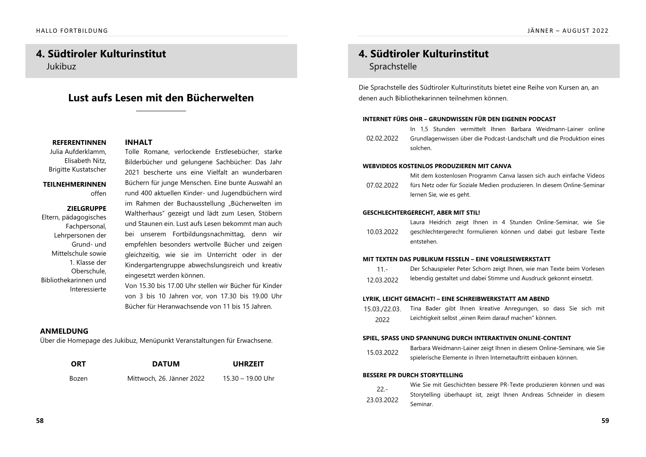# **4. Südtiroler Kulturinstitut**

Jukibuz

# **Tust aufs Lesen mit den Bücherwelten**

## **REFERENTINNEN INHALT**

Julia Aufderklamm, Elisabeth Nitz. Brigitte Kustatscher

#### **TEILNEHMERINNEN** offen

### ZIELGRUPPE

Eltern, pädagogisches Fachpersonal, Lehrpersonen der Grund- und Mittelschule sowie 1. Klasse der Oberschule. Bibliothekarinnen und Interessierte

Tolle Romane, verlockende Erstlesebücher, starke Bilderbücher und gelungene Sachbücher: Das Jahr 2021 bescherte uns eine Vielfalt an wunderbaren Büchern für junge Menschen. Eine bunte Auswahl an rund 400 aktuellen Kinder- und Jugendbüchern wird im Rahmen der Buchausstellung "Bücherwelten im Waltherhaus" gezeigt und lädt zum Lesen, Stöbern und Staunen ein. Lust aufs Lesen bekommt man auch bei unserem Fortbildungsnachmittag, denn wir empfehlen besonders wertvolle Bücher und zeigen gleichzeitig, wie sie im Unterricht oder in der Kindergartengruppe abwechslungsreich und kreativ eingesetzt werden können.

Von 15.30 bis 17.00 Uhr stellen wir Bücher für Kinder von 3 bis 10 Jahren vor, von 17.30 bis 19.00 Uhr Bücher für Heranwachsende von 11 bis 15 Jahren.

## ANMELDUNG

Über die Homepage des Jukibuz, Menüpunkt Veranstaltungen für Erwachsene.

| <b>ORT</b> | <b>DATUM</b>              | <b>UHRZEIT</b>      |
|------------|---------------------------|---------------------|
| Bozen      | Mittwoch, 26. Jänner 2022 | $15.30 - 19.00$ Uhr |

# **4. Südtiroler Kulturinstitut**

# Sprachstelle

Die Sprachstelle des Südtiroler Kulturinstituts bietet eine Reihe von Kursen an, an denen auch Bibliothekarinnen teilnehmen können.

#### INTERNET FÜRS OHR – GRUNDWISSEN FÜR DEN EIGENEN PODCAST

 $02.02.2022$ In 1.5 Stunden vermittelt Ihnen Barbara Weidmann-Lainer online Grundlagenwissen über die Podcast-Landschaft und die Produktion eines solchen.

#### **WEBVIDEOS KOSTENLOS PRODUZIEREN MIT CANVA**

 $07.02.2022$ Mit dem kostenlosen Programm Canva lassen sich auch einfache Videos fürs Netz oder für Soziale Medien produzieren. In diesem Online-Seminar lernen Sie, wie es geht.

#### GESCHLECHTERGERECHT, ABER MIT STIL!

10.03.2022 Laura Heidrich zeigt Ihnen in 4 Stunden Online-Seminar, wie Sie geschlechtergerecht formulieren können und dabei gut lesbare Texte entstehen

#### **MIT TEXTEN DAS PUBLIKUM FESSELN - FINE VORLESEWERKSTATT**

- $11 -$ Der Schauspieler Peter Schorn zeigt Ihnen, wie man Texte beim Vorlesen
- $12,03,2022$ lebendig gestaltet und dabei Stimme und Ausdruck gekonnt einsetzt.

#### LYRIK, LEICHT GEMACHT! – EINE SCHREIBWERKSTATT AM ABEND

15.03./22.03. 2022 Tina Bader gibt Ihnen kreative Anregungen, so dass Sie sich mit Leichtigkeit selbst "einen Reim darauf machen" können.

#### SPIEL, SPASS UND SPANNUNG DURCH INTERAKTIVEN ONLINE-CONTENT

15.03.2022 Barbara Weidmann-Lainer zeigt Ihnen in diesem Online-Seminare, wie Sie spielerische Elemente in Ihren Internetauftritt einbauen können.

#### BESSERE PR DURCH STORYTELLING



Wie Sie mit Geschichten bessere PR-Texte produzieren können und was Storytelling überhaupt ist, zeigt Ihnen Andreas Schneider in diesem Seminar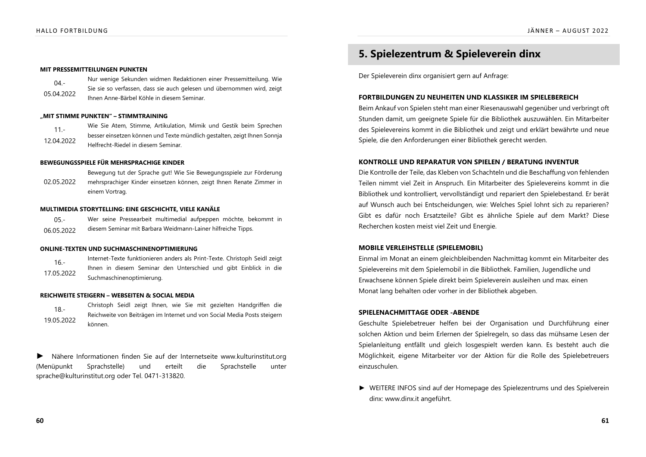#### MIT PRESSEMITTEILUNGEN PUNKTEN

| $04 -$     | Nur wenige Sekunden widmen Redaktionen einer Pressemitteilung. Wie     |
|------------|------------------------------------------------------------------------|
| 05.04.2022 | Sie sie so verfassen, dass sie auch gelesen und übernommen wird, zeigt |
|            | Ihnen Anne-Bärbel Köhle in diesem Seminar.                             |

#### "MIT STIMME PUNKTEN" – STIMMTRAINING

 $11 -$ 12.04.2022 Wie Sie Atem, Stimme, Artikulation, Mimik und Gestik beim Sprechen besser einsetzen können und Texte mündlich gestalten, zeigt Ihnen Sonnja Helfrecht-Riedel in diesem Seminar.

#### BEWEGUNGSSPIELE FÜR MEHRSPRACHIGE KINDER

02.05.2022 Bewegung tut der Sprache gut! Wie Sie Bewegungsspiele zur Förderung mehrsprachiger Kinder einsetzen können, zeigt Ihnen Renate Zimmer in einem Vortrag.

#### MULTIMEDIA STORYTELLING: EINE GESCHICHTE, VIELE KANÄLE

| $05 -$     | Wer seine Pressearbeit multimedial aufpeppen möchte, bekommt in |
|------------|-----------------------------------------------------------------|
| 06.05.2022 | diesem Seminar mit Barbara Weidmann-Lainer hilfreiche Tipps.    |

#### ONLINE-TEXTEN UND SUCHMASCHINENOPTIMIERUNG

 $16 -$ 17.05.2022 Internet-Texte funktionieren anders als Print-Texte. Christoph Seidl zeigt Ihnen in diesem Seminar den Unterschied und gibt Einblick in die Suchmaschinenoptimierung.

#### REICHWEITE STEIGERN – WEBSEITEN & SOCIAL MEDIA

 $18 -$ 19 05 2022 Christoph Seidl zeigt Ihnen, wie Sie mit gezielten Handgriffen die Reichweite von Beiträgen im Internet und von Social Media Posts steigern können.

ighta Disponsion Mähere Informationen finden Sie auf der Internetseite www.kulturinstitut.org (Menüpunkt Sprachstelle) und erteilt die Sprachstelle unter sprache@kulturinstitut.org oder Tel. 0471-313820.

# **5. Spielezentrum & Spieleverein dinx**

Der Spieleverein dinx organisiert gern auf Anfrage:

#### FORTBILDUNGEN ZU NEUHEITEN UND KLASSIKER IM SPIELEBEREICH

Beim Ankauf von Spielen steht man einer Riesenauswahl gegenüber und verbringt oft Stunden damit, um geeignete Spiele für die Bibliothek auszuwählen. Ein Mitarbeiter des Spielevereins kommt in die Bibliothek und zeigt und erklärt bewährte und neue Spiele, die den Anforderungen einer Bibliothek gerecht werden.

#### KONTROLLE UND REPARATUR VON SPIELEN / BERATUNG INVENTUR

Die Kontrolle der Teile, das Kleben von Schachteln und die Beschaffung von fehlenden Teilen nimmt viel Zeit in Anspruch. Ein Mitarbeiter des Spielevereins kommt in die Bibliothek und kontrolliert, vervollständigt und repariert den Spielebestand. Er berät auf Wunsch auch bei Entscheidungen, wie: Welches Spiel lohnt sich zu reparieren? Gibt es dafür noch Ersatzteile? Gibt es ähnliche Spiele auf dem Markt? Diese Recherchen kosten meist viel Zeit und Energie.

#### **MOBILE VERLEIHSTELLE (SPIELEMOBIL)**

Einmal im Monat an einem gleichbleibenden Nachmittag kommt ein Mitarbeiter des Spielevereins mit dem Spielemobil in die Bibliothek. Familien, Jugendliche und Erwachsene können Spiele direkt beim Spieleverein ausleihen und max. einen Monat lang behalten oder vorher in der Bibliothek abgeben.

#### SPIELENACHMITTAGE ODER -ABENDE

Geschulte Spielebetreuer helfen bei der Organisation und Durchführung einer solchen Aktion und beim Erlernen der Spielregeln, so dass das mühsame Lesen der Spielanleitung entfällt und gleich losgespielt werden kann. Es besteht auch die Möglichkeit, eigene Mitarbeiter vor der Aktion für die Rolle des Spielebetreuers einzuschulen.

 $\blacktriangleright$  WEITERE INFOS sind auf der Homepage des Spielezentrums und des Spielverein dinx: www.dinx.it angeführt.